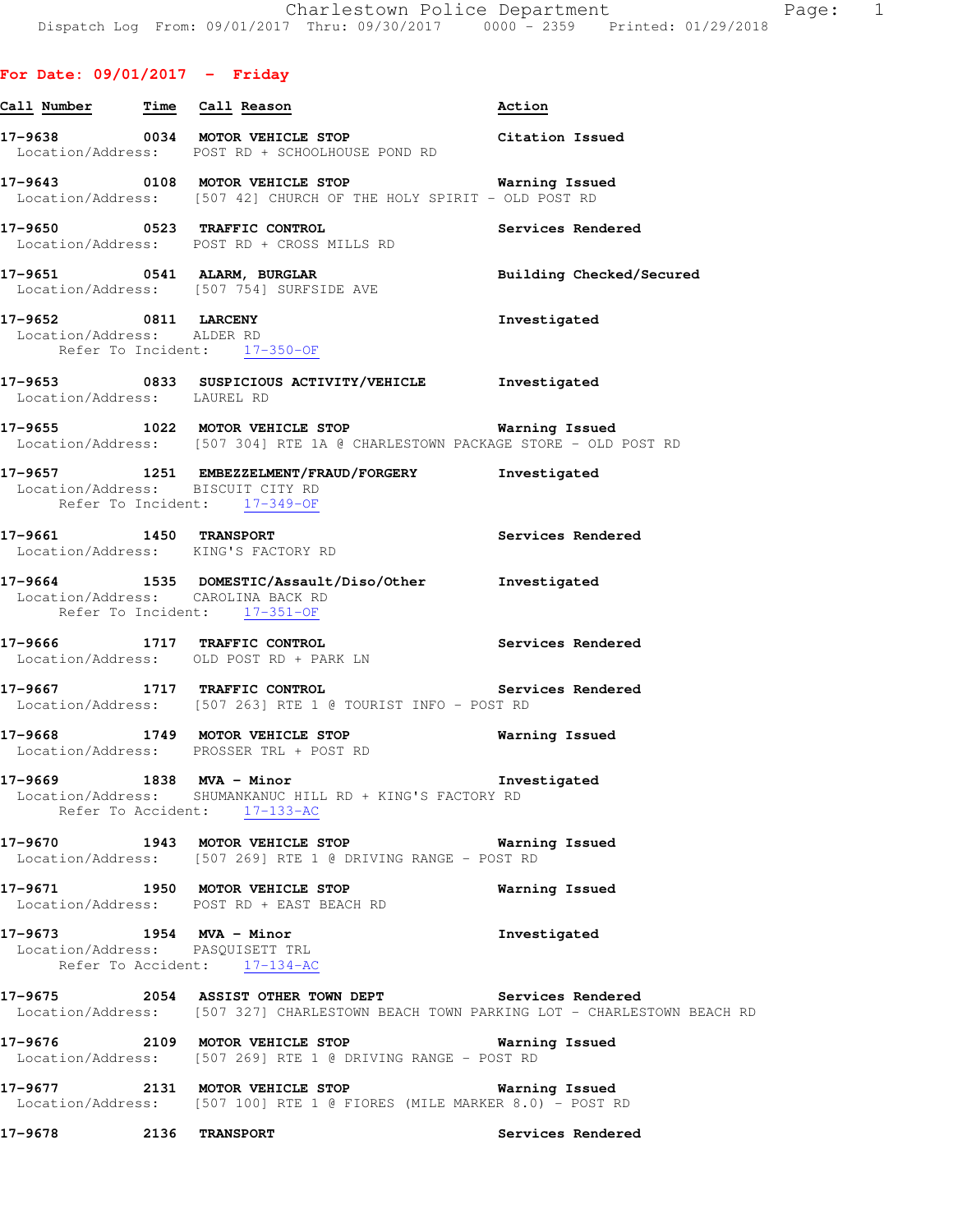**For Date: 09/01/2017 - Friday**

| Call Number Time Call Reason                                      |                                                                                                                                                | Action                   |
|-------------------------------------------------------------------|------------------------------------------------------------------------------------------------------------------------------------------------|--------------------------|
|                                                                   | 17-9638 0034 MOTOR VEHICLE STOP<br>Location/Address: POST RD + SCHOOLHOUSE POND RD                                                             | Citation Issued          |
|                                                                   | 17-9643 0108 MOTOR VEHICLE STOP 6 Warning Issued<br>Location/Address: [507 42] CHURCH OF THE HOLY SPIRIT - OLD POST RD                         |                          |
|                                                                   | 17-9650 0523 TRAFFIC CONTROL<br>Location/Address: POST RD + CROSS MILLS RD                                                                     | Services Rendered        |
|                                                                   | 17-9651 0541 ALARM, BURGLAR<br>Location/Address: [507 754] SURFSIDE AVE                                                                        | Building Checked/Secured |
| 17-9652 0811 LARCENY<br>Location/Address: ALDER RD                | Refer To Incident: 17-350-OF                                                                                                                   | Investigated             |
|                                                                   | 17-9653 0833 SUSPICIOUS ACTIVITY/VEHICLE Investigated<br>Location/Address: LAUREL RD                                                           |                          |
|                                                                   | 17-9655 1022 MOTOR VEHICLE STOP Warning Issued<br>Location/Address: [507 304] RTE 1A @ CHARLESTOWN PACKAGE STORE - OLD POST RD                 |                          |
| Location/Address: BISCUIT CITY RD<br>Refer To Incident: 17-349-OF | 17-9657 1251 EMBEZZELMENT/FRAUD/FORGERY Investigated                                                                                           |                          |
|                                                                   | 17-9661 1450 TRANSPORT<br>Location/Address: KING'S FACTORY RD                                                                                  | Services Rendered        |
| Location/Address: CAROLINA BACK RD                                | 17-9664 1535 DOMESTIC/Assault/Diso/Other<br>Refer To Incident: 17-351-OF                                                                       | Investigated             |
| 17-9666 1717 TRAFFIC CONTROL                                      | Location/Address: OLD POST RD + PARK LN                                                                                                        | Services Rendered        |
|                                                                   | 17-9667 1717 TRAFFIC CONTROL Services Rendered<br>Location/Address: [507 263] RTE 1 @ TOURIST INFO - POST RD                                   |                          |
|                                                                   | 17-9668 1749 MOTOR VEHICLE STOP<br>Location/Address: PROSSER TRL + POST RD                                                                     | Warning Issued           |
| 17-9669                                                           | $1838$ MVA - Minor<br>Location/Address: SHUMANKANUC HILL RD + KING'S FACTORY RD<br>Refer To Accident: 17-133-AC                                | Investigated             |
|                                                                   | 17-9670 1943 MOTOR VEHICLE STOP 6 Warning Issued<br>Location/Address: [507 269] RTE 1 @ DRIVING RANGE - POST RD                                |                          |
|                                                                   | 17-9671 1950 MOTOR VEHICLE STOP<br>Location/Address: POST RD + EAST BEACH RD                                                                   | Warning Issued           |
| 17-9673 1954 MVA - Minor<br>Location/Address: PASQUISETT TRL      | Refer To Accident: 17-134-AC                                                                                                                   | Investigated             |
|                                                                   | 17-9675 2054 ASSIST OTHER TOWN DEPT Services Rendered<br>Location/Address: [507 327] CHARLESTOWN BEACH TOWN PARKING LOT - CHARLESTOWN BEACH RD |                          |
|                                                                   | 17-9676 2109 MOTOR VEHICLE STOP<br>Location/Address: [507 269] RTE 1 @ DRIVING RANGE - POST RD                                                 | Warning Issued           |
|                                                                   | 17-9677 2131 MOTOR VEHICLE STOP<br>Location/Address: [507 100] RTE 1 @ FIORES (MILE MARKER 8.0) - POST RD                                      | Warning Issued           |
| 17-9678 2136 TRANSPORT                                            |                                                                                                                                                | Services Rendered        |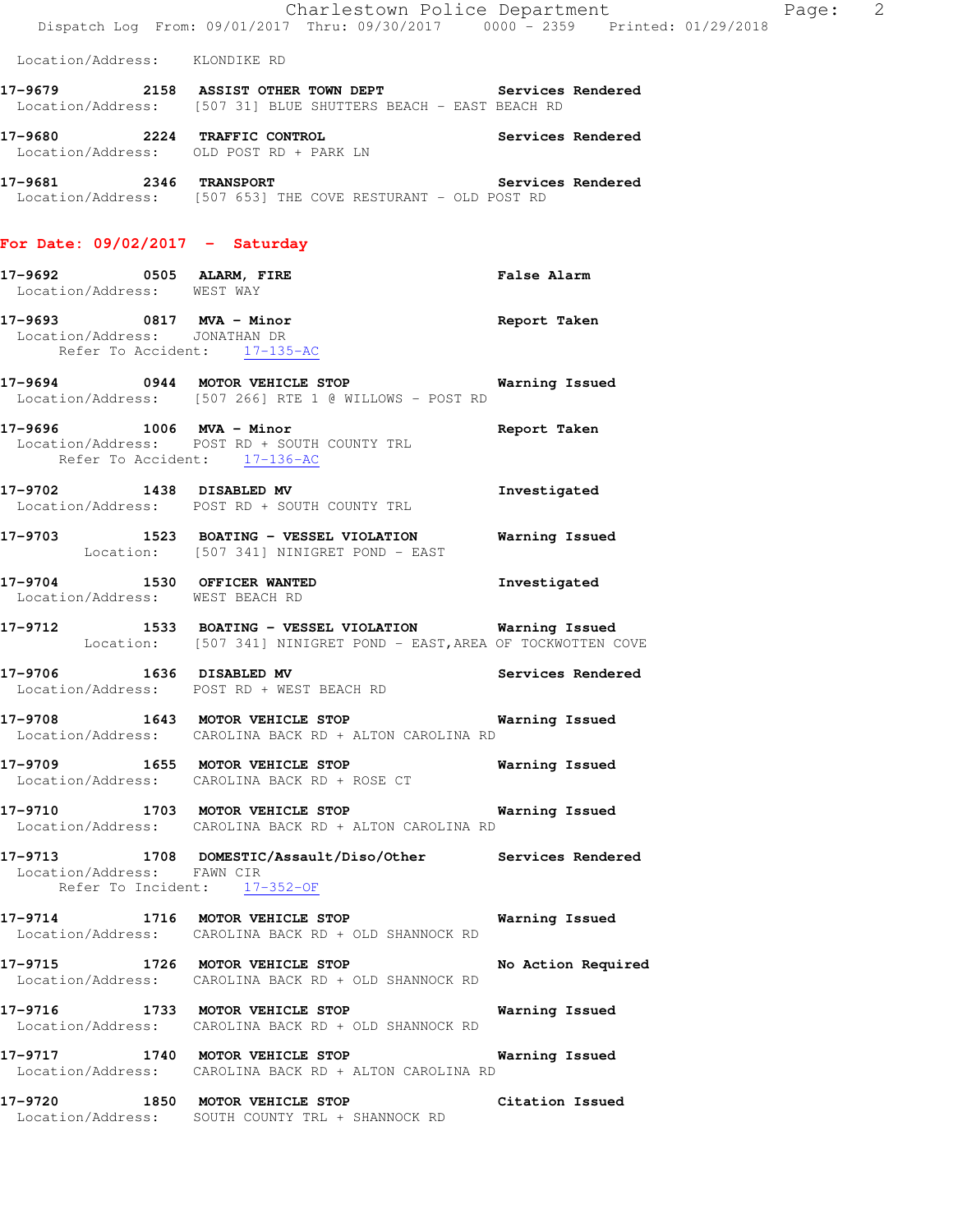Location/Address: KLONDIKE RD

**17-9679 2158 ASSIST OTHER TOWN DEPT Services Rendered**  Location/Address: [507 31] BLUE SHUTTERS BEACH - EAST BEACH RD

**17-9680 2224 TRAFFIC CONTROL Services Rendered**  Location/Address: OLD POST RD + PARK LN

**17-9681 2346 TRANSPORT Services Rendered**  Location/Address: [507 653] THE COVE RESTURANT - OLD POST RD

### **For Date: 09/02/2017 - Saturday**

- **17-9692 0505 ALARM, FIRE False Alarm**  Location/Address: WEST WAY
- **17-9693 0817 MVA Minor Report Taken**  Location/Address: JONATHAN DR Refer To Accident: 17-135-AC
- **17-9694 0944 MOTOR VEHICLE STOP Warning Issued**  Location/Address: [507 266] RTE 1 @ WILLOWS - POST RD
- **17-9696 1006 MVA Minor Report Taken**  Location/Address: POST RD + SOUTH COUNTY TRL Refer To Accident: 17-136-AC
- **17-9702 1438 DISABLED MV Investigated**  Location/Address: POST RD + SOUTH COUNTY TRL
- **17-9703 1523 BOATING VESSEL VIOLATION Warning Issued**  Location: [507 341] NINIGRET POND - EAST
- **17-9704 1530 OFFICER WANTED Investigated**  Location/Address: WEST BEACH RD
- **17-9712 1533 BOATING VESSEL VIOLATION Warning Issued**  Location: [507 341] NINIGRET POND - EAST,AREA OF TOCKWOTTEN COVE
- **17-9706 1636 DISABLED MV Services Rendered**  Location/Address: POST RD + WEST BEACH RD
- **17-9708 1643 MOTOR VEHICLE STOP Warning Issued**  Location/Address: CAROLINA BACK RD + ALTON CAROLINA RD
- **17-9709 1655 MOTOR VEHICLE STOP Warning Issued**  Location/Address: CAROLINA BACK RD + ROSE CT
- **17-9710 1703 MOTOR VEHICLE STOP Warning Issued**  Location/Address: CAROLINA BACK RD + ALTON CAROLINA RD
- **17-9713 1708 DOMESTIC/Assault/Diso/Other Services Rendered**  Location/Address: FAWN CIR Refer To Incident: 17-352-OF
- **17-9714 1716 MOTOR VEHICLE STOP Warning Issued**  Location/Address: CAROLINA BACK RD + OLD SHANNOCK RD
- **17-9715 1726 MOTOR VEHICLE STOP No Action Required**  Location/Address: CAROLINA BACK RD + OLD SHANNOCK RD
- **17-9716 1733 MOTOR VEHICLE STOP Warning Issued**  Location/Address: CAROLINA BACK RD + OLD SHANNOCK RD
- **17-9717 1740 MOTOR VEHICLE STOP Warning Issued**  Location/Address: CAROLINA BACK RD + ALTON CAROLINA RD
- **17-9720 1850 MOTOR VEHICLE STOP Citation Issued**  Location/Address: SOUTH COUNTY TRL + SHANNOCK RD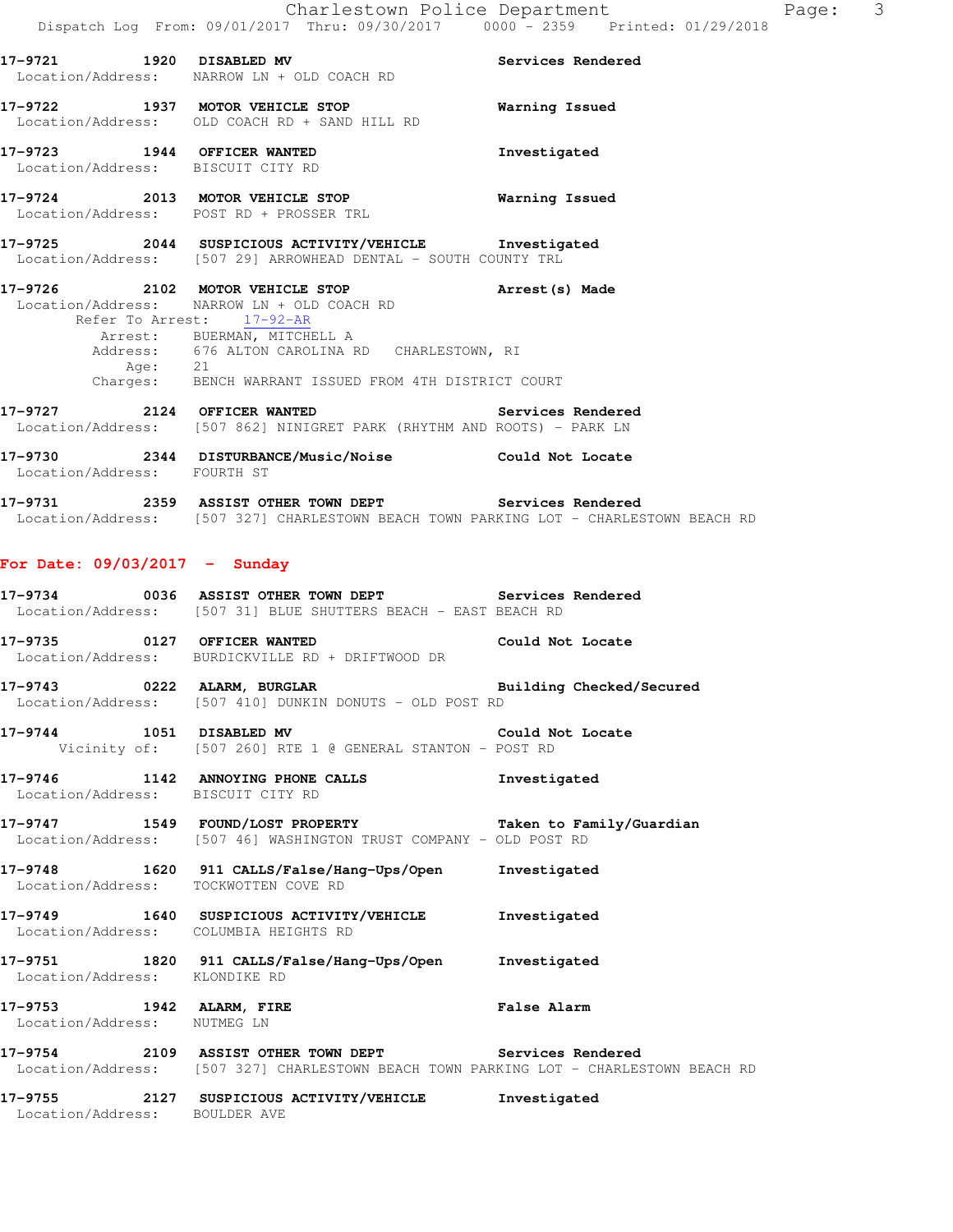|                                 | 17-9721 1920 DISABLED MV<br>Location/Address: NARROW LN + OLD COACH RD                                                                                                                                                                                                                 | <b>Services Rendered</b> |
|---------------------------------|----------------------------------------------------------------------------------------------------------------------------------------------------------------------------------------------------------------------------------------------------------------------------------------|--------------------------|
|                                 | 17-9722 1937 MOTOR VEHICLE STOP 6 Warning Issued<br>Location/Address: OLD COACH RD + SAND HILL RD                                                                                                                                                                                      |                          |
|                                 | 17-9723 1944 OFFICER WANTED 17-9723<br>Location/Address: BISCUIT CITY RD                                                                                                                                                                                                               |                          |
|                                 | 17-9724 2013 MOTOR VEHICLE STOP 6 Warning Issued<br>Location/Address: POST RD + PROSSER TRL                                                                                                                                                                                            |                          |
|                                 | 17-9725 2044 SUSPICIOUS ACTIVITY/VEHICLE Investigated<br>Location/Address: [507 29] ARROWHEAD DENTAL - SOUTH COUNTY TRL                                                                                                                                                                |                          |
|                                 | 17-9726 2102 MOTOR VEHICLE STOP <b>Arrest</b> (s) Made<br>Location/Address: NARROW LN + OLD COACH RD<br>Refer To Arrest: 17-92-AR<br>Arrest: BUERMAN, MITCHELL A<br>Address: 676 ALTON CAROLINA RD CHARLESTOWN, RI<br>Age: 21<br>Charges: BENCH WARRANT ISSUED FROM 4TH DISTRICT COURT |                          |
|                                 | 17-9727 2124 OFFICER WANTED Services Rendered<br>Location/Address: [507 862] NINIGRET PARK (RHYTHM AND ROOTS) - PARK LN                                                                                                                                                                |                          |
| Location/Address: FOURTH ST     | 17-9730 2344 DISTURBANCE/Music/Noise Could Not Locate                                                                                                                                                                                                                                  |                          |
|                                 | 17-9731 2359 ASSIST OTHER TOWN DEPT Services Rendered<br>Location/Address: [507 327] CHARLESTOWN BEACH TOWN PARKING LOT - CHARLESTOWN BEACH RD                                                                                                                                         |                          |
| For Date: $09/03/2017 -$ Sunday |                                                                                                                                                                                                                                                                                        |                          |
|                                 | 17-9734 0036 ASSIST OTHER TOWN DEPT Services Rendered<br>Location/Address: [507 31] BLUE SHUTTERS BEACH - EAST BEACH RD                                                                                                                                                                |                          |
|                                 | 17-9735 0127 OFFICER WANTED Could Not Locate<br>Location/Address: BURDICKVILLE RD + DRIFTWOOD DR                                                                                                                                                                                       |                          |
|                                 | 17-9743 0222 ALARM, BURGLAR BURGER Building Checked/Secured<br>Location/Address: [507 410] DUNKIN DONUTS - OLD POST RD                                                                                                                                                                 |                          |
|                                 | 17-9744 1051 DISABLED MV Could Not Locate<br>Vicinity of: [507 260] RTE 1 @ GENERAL STANTON - POST RD                                                                                                                                                                                  |                          |
|                                 | 17-9746 1142 ANNOYING PHONE CALLS<br>Location/Address: BISCUIT CITY RD                                                                                                                                                                                                                 | Investigated             |
| 17-9747                         | 1549 FOUND/LOST PROPERTY<br>Location/Address: [507 46] WASHINGTON TRUST COMPANY - OLD POST RD                                                                                                                                                                                          | Taken to Family/Guardian |
|                                 | 17-9748 1620 911 CALLS/False/Hang-Ups/Open<br>Location/Address: TOCKWOTTEN COVE RD                                                                                                                                                                                                     | Investigated             |
|                                 |                                                                                                                                                                                                                                                                                        |                          |

**17-9749 1640 SUSPICIOUS ACTIVITY/VEHICLE Investigated**  Location/Address: COLUMBIA HEIGHTS RD

**17-9751 1820 911 CALLS/False/Hang-Ups/Open Investigated**  Location/Address: KLONDIKE RD

**17-9753 1942 ALARM, FIRE False Alarm**  Location/Address: NUTMEG LN

**17-9754 2109 ASSIST OTHER TOWN DEPT Services Rendered**  Location/Address: [507 327] CHARLESTOWN BEACH TOWN PARKING LOT - CHARLESTOWN BEACH RD

**17-9755 2127 SUSPICIOUS ACTIVITY/VEHICLE Investigated**  Location/Address: BOULDER AVE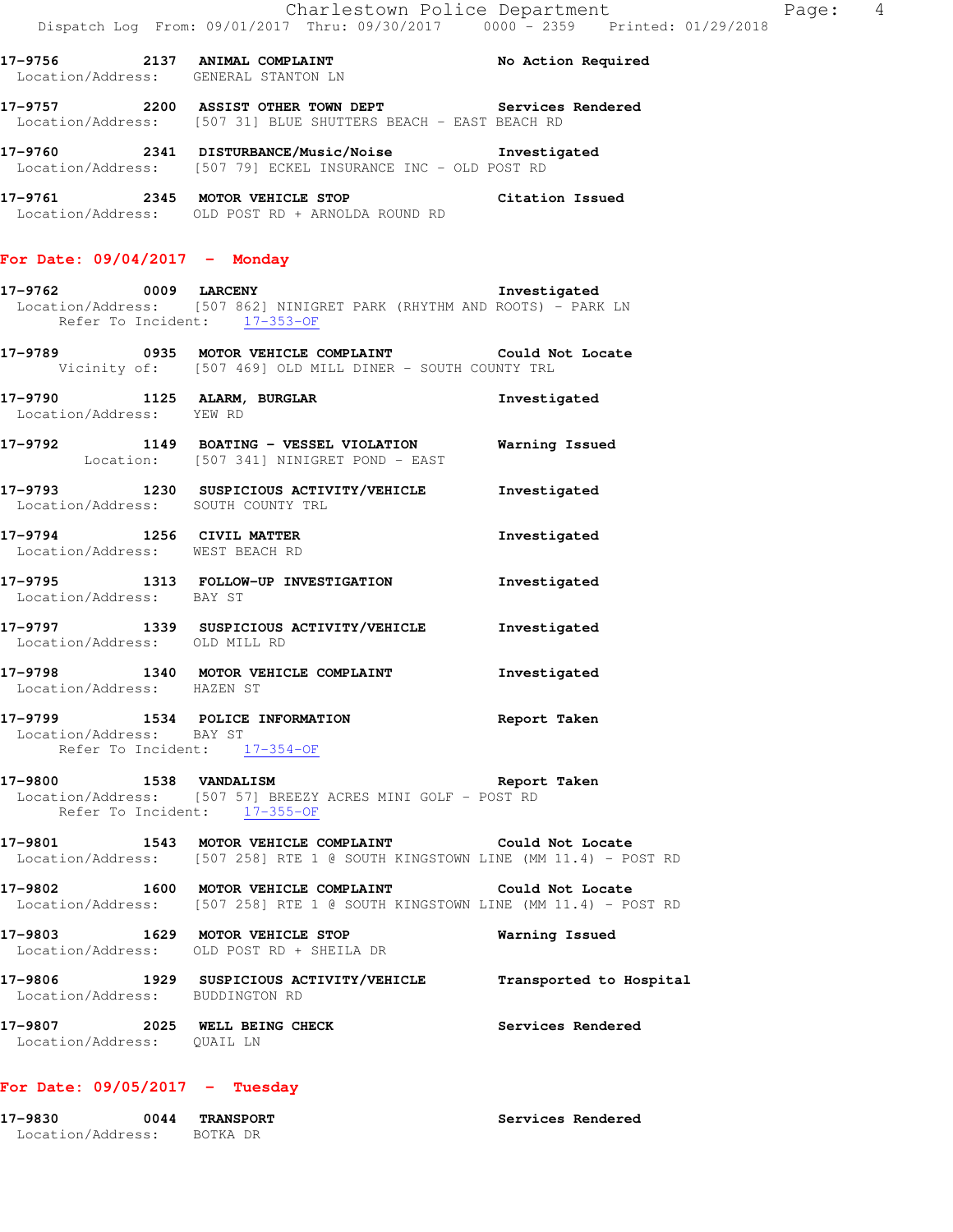**17-9757 2200 ASSIST OTHER TOWN DEPT Services Rendered**  Location/Address: [507 31] BLUE SHUTTERS BEACH - EAST BEACH RD

**17-9760 2341 DISTURBANCE/Music/Noise Investigated**  Location/Address: [507 79] ECKEL INSURANCE INC - OLD POST RD

**17-9761 2345 MOTOR VEHICLE STOP Citation Issued**  Location/Address: OLD POST RD + ARNOLDA ROUND RD

### **For Date: 09/04/2017 - Monday**

**17-9762 0009 LARCENY Investigated**  Location/Address: [507 862] NINIGRET PARK (RHYTHM AND ROOTS) - PARK LN Refer To Incident: 17-353-OF

**17-9789 0935 MOTOR VEHICLE COMPLAINT Could Not Locate**  Vicinity of: [507 469] OLD MILL DINER - SOUTH COUNTY TRL

**17-9790 1125 ALARM, BURGLAR Investigated**  Location/Address: YEW RD

**17-9792 1149 BOATING - VESSEL VIOLATION Warning Issued**  Location: [507 341] NINIGRET POND - EAST

**17-9793 1230 SUSPICIOUS ACTIVITY/VEHICLE Investigated**  Location/Address: SOUTH COUNTY TRL **17-9794 1256 CIVIL MATTER Investigated**  Location/Address: WEST BEACH RD

**17-9795 1313 FOLLOW-UP INVESTIGATION Investigated**  Location/Address: BAY ST **17-9797 1339 SUSPICIOUS ACTIVITY/VEHICLE Investigated**  Location/Address: OLD MILL RD

**17-9798 1340 MOTOR VEHICLE COMPLAINT Investigated**  Location/Address: HAZEN ST

#### **17-9799 1534 POLICE INFORMATION Report Taken**  Location/Address: BAY ST Refer To Incident:  $17-354-OF$

**17-9800 1538 VANDALISM Report Taken**  Location/Address: [507 57] BREEZY ACRES MINI GOLF - POST RD Refer To Incident:  $17-355-OF$ 

**17-9801 1543 MOTOR VEHICLE COMPLAINT Could Not Locate**  Location/Address: [507 258] RTE 1 @ SOUTH KINGSTOWN LINE (MM 11.4) - POST RD

**17-9802 1600 MOTOR VEHICLE COMPLAINT Could Not Locate**  Location/Address: [507 258] RTE 1 @ SOUTH KINGSTOWN LINE (MM 11.4) - POST RD

**17-9803 1629 MOTOR VEHICLE STOP Warning Issued**  Location/Address: OLD POST RD + SHEILA DR **17-9806 1929 SUSPICIOUS ACTIVITY/VEHICLE Transported to Hospital**  Location/Address: BUDDINGTON RD **17-9807 2025 WELL BEING CHECK Services Rendered**  Location/Address: QUAIL LN

## **For Date: 09/05/2017 - Tuesday**

| 17-9830           | 0044 | <b>TRANSPORT</b> | Services Rendered |
|-------------------|------|------------------|-------------------|
| Location/Address: |      | BOTKA DR         |                   |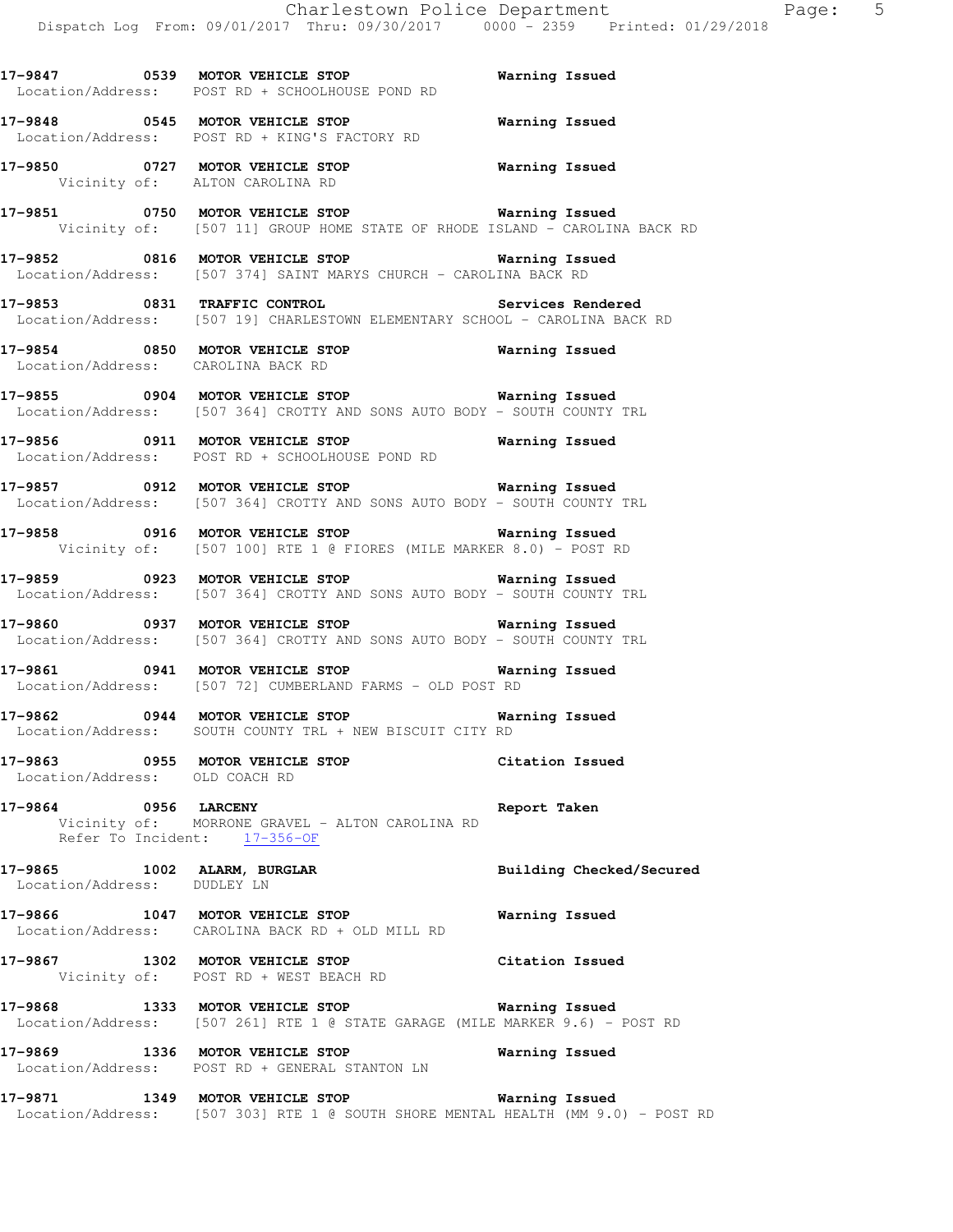**17-9847 0539 MOTOR VEHICLE STOP Warning Issued**  Location/Address: POST RD + SCHOOLHOUSE POND RD **17-9848 0545 MOTOR VEHICLE STOP Warning Issued**  Location/Address: POST RD + KING'S FACTORY RD **17-9850 0727 MOTOR VEHICLE STOP Warning Issued**  Vicinity of: ALTON CAROLINA RD **17-9851 0750 MOTOR VEHICLE STOP Warning Issued**  Vicinity of: [507 11] GROUP HOME STATE OF RHODE ISLAND - CAROLINA BACK RD **17-9852 0816 MOTOR VEHICLE STOP Warning Issued**  Location/Address: [507 374] SAINT MARYS CHURCH - CAROLINA BACK RD **17-9853 0831 TRAFFIC CONTROL Services Rendered**  Location/Address: [507 19] CHARLESTOWN ELEMENTARY SCHOOL - CAROLINA BACK RD **17-9854 0850 MOTOR VEHICLE STOP Warning Issued**  Location/Address: CAROLINA BACK RD **17-9855 0904 MOTOR VEHICLE STOP Warning Issued**  Location/Address: [507 364] CROTTY AND SONS AUTO BODY - SOUTH COUNTY TRL **17-9856 0911 MOTOR VEHICLE STOP Warning Issued**  Location/Address: POST RD + SCHOOLHOUSE POND RD **17-9857 0912 MOTOR VEHICLE STOP Warning Issued**  Location/Address: [507 364] CROTTY AND SONS AUTO BODY - SOUTH COUNTY TRL **17-9858 0916 MOTOR VEHICLE STOP Warning Issued**  Vicinity of: [507 100] RTE 1 @ FIORES (MILE MARKER 8.0) - POST RD **17-9859 0923 MOTOR VEHICLE STOP Warning Issued**  Location/Address: [507 364] CROTTY AND SONS AUTO BODY - SOUTH COUNTY TRL **17-9860 0937 MOTOR VEHICLE STOP Warning Issued**  Location/Address: [507 364] CROTTY AND SONS AUTO BODY - SOUTH COUNTY TRL **17-9861 0941 MOTOR VEHICLE STOP Warning Issued**  Location/Address: [507 72] CUMBERLAND FARMS - OLD POST RD **17-9862 0944 MOTOR VEHICLE STOP Warning Issued**  Location/Address: SOUTH COUNTY TRL + NEW BISCUIT CITY RD **17-9863 0955 MOTOR VEHICLE STOP Citation Issued**  Location/Address: OLD COACH RD **17-9864 0956 LARCENY Report Taken**  Vicinity of: MORRONE GRAVEL - ALTON CAROLINA RD Refer To Incident: 17-356-OF **17-9865 1002 ALARM, BURGLAR Building Checked/Secured**  Location/Address: DUDLEY LN **17-9866 1047 MOTOR VEHICLE STOP Warning Issued**  Location/Address: CAROLINA BACK RD + OLD MILL RD **17-9867 1302 MOTOR VEHICLE STOP Citation Issued**  Vicinity of: POST RD + WEST BEACH RD **17-9868 1333 MOTOR VEHICLE STOP Warning Issued**  Location/Address: [507 261] RTE 1 @ STATE GARAGE (MILE MARKER 9.6) - POST RD **17-9869 1336 MOTOR VEHICLE STOP Warning Issued** 

 Location/Address: POST RD + GENERAL STANTON LN **17-9871 1349 MOTOR VEHICLE STOP Warning Issued** 

Location/Address: [507 303] RTE 1 @ SOUTH SHORE MENTAL HEALTH (MM 9.0) - POST RD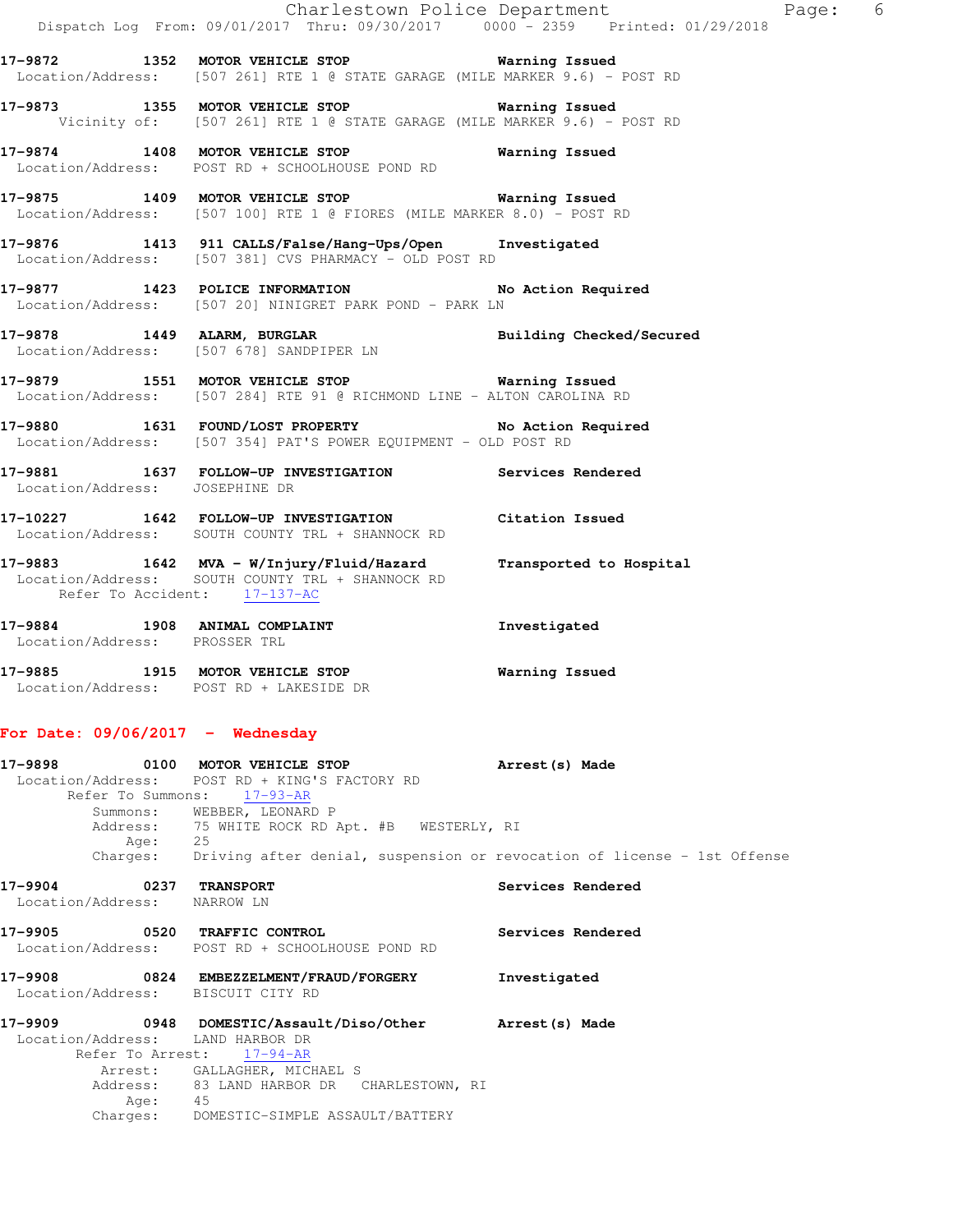|                                                       | Dispatch Log From: 09/01/2017 Thru: 09/30/2017   0000 - 2359   Printed: 01/29/2018                                                                         | Charlestown Police Department<br>Page: 6                                |
|-------------------------------------------------------|------------------------------------------------------------------------------------------------------------------------------------------------------------|-------------------------------------------------------------------------|
|                                                       | 17-9872 1352 MOTOR VEHICLE STOP <b>WARELL</b> STOP<br>Location/Address: [507 261] RTE 1 @ STATE GARAGE (MILE MARKER 9.6) - POST RD                         |                                                                         |
|                                                       | 17-9873 1355 MOTOR VEHICLE STOP 6 Warning Issued<br>Vicinity of: [507 261] RTE 1 @ STATE GARAGE (MILE MARKER 9.6) - POST RD                                |                                                                         |
|                                                       | 17-9874 1408 MOTOR VEHICLE STOP 6 Warning Issued<br>Location/Address: POST RD + SCHOOLHOUSE POND RD                                                        |                                                                         |
|                                                       | 17-9875 1409 MOTOR VEHICLE STOP 6 Warning Issued<br>Location/Address: [507 100] RTE 1 @ FIORES (MILE MARKER 8.0) - POST RD                                 |                                                                         |
|                                                       | 17-9876 1413 911 CALLS/False/Hang-Ups/Open Investigated<br>Location/Address: [507 381] CVS PHARMACY - OLD POST RD                                          |                                                                         |
|                                                       | 17-9877 1423 POLICE INFORMATION No Action Required<br>Location/Address: [507 20] NINIGRET PARK POND - PARK LN                                              |                                                                         |
|                                                       | 17-9878 1449 ALARM, BURGLAR 2001 Building Checked/Secured<br>Location/Address: [507 678] SANDPIPER LN                                                      |                                                                         |
|                                                       | 17-9879 1551 MOTOR VEHICLE STOP 6 Warning Issued<br>Location/Address: [507 284] RTE 91 @ RICHMOND LINE - ALTON CAROLINA RD                                 |                                                                         |
|                                                       | 17-9880 1631 FOUND/LOST PROPERTY No Action Required<br>Location/Address: [507 354] PAT'S POWER EQUIPMENT - OLD POST RD                                     |                                                                         |
| Location/Address: JOSEPHINE DR                        | 17-9881 1637 FOLLOW-UP INVESTIGATION Services Rendered                                                                                                     |                                                                         |
|                                                       | 17-10227 1642 FOLLOW-UP INVESTIGATION Citation Issued<br>Location/Address: SOUTH COUNTY TRL + SHANNOCK RD                                                  |                                                                         |
| Refer To Accident: 17-137-AC                          | 17-9883 1642 MVA - W/Injury/Fluid/Hazard Transported to Hospital<br>Location/Address: SOUTH COUNTY TRL + SHANNOCK RD                                       |                                                                         |
| Location/Address: PROSSER TRL                         | 17-9884 1908 ANIMAL COMPLAINT                                                                                                                              | Investigated                                                            |
|                                                       | 17-9885 1915 MOTOR VEHICLE STOP<br>Location/Address: POST RD + LAKESIDE DR                                                                                 | Warning Issued                                                          |
| For Date: $09/06/2017 -$ Wednesday                    |                                                                                                                                                            |                                                                         |
| 17-9898                                               | 0100 MOTOR VEHICLE STOP<br>Location/Address: POST RD + KING'S FACTORY RD<br>Refer To Summons: 17-93-AR                                                     | Arrest(s) Made                                                          |
| Summer<br>Address:                                    | Summons: WEBBER, LEONARD P<br>75 WHITE ROCK RD Apt. #B WESTERLY, RI                                                                                        |                                                                         |
| Age:<br>Charges:                                      | 25                                                                                                                                                         | Driving after denial, suspension or revocation of license - 1st Offense |
| 17-9904 0237 TRANSPORT<br>Location/Address: NARROW LN |                                                                                                                                                            | Services Rendered                                                       |
| 17–9905                                               | 0520 TRAFFIC CONTROL<br>Location/Address: POST RD + SCHOOLHOUSE POND RD                                                                                    | Services Rendered                                                       |
| 17-9908<br>Location/Address: BISCUIT CITY RD          | 0824 EMBEZZELMENT/FRAUD/FORGERY                                                                                                                            | Investigated                                                            |
| 17–9909<br>Location/Address: LAND HARBOR DR           | 0948 DOMESTIC/Assault/Diso/Other Arrest(s) Made<br>Refer To Arrest: 17-94-AR<br>Arrest: GALLAGHER, MICHAEL S<br>Address: 83 LAND HARBOR DR CHARLESTOWN, RI |                                                                         |

Age: 45

Charges: DOMESTIC-SIMPLE ASSAULT/BATTERY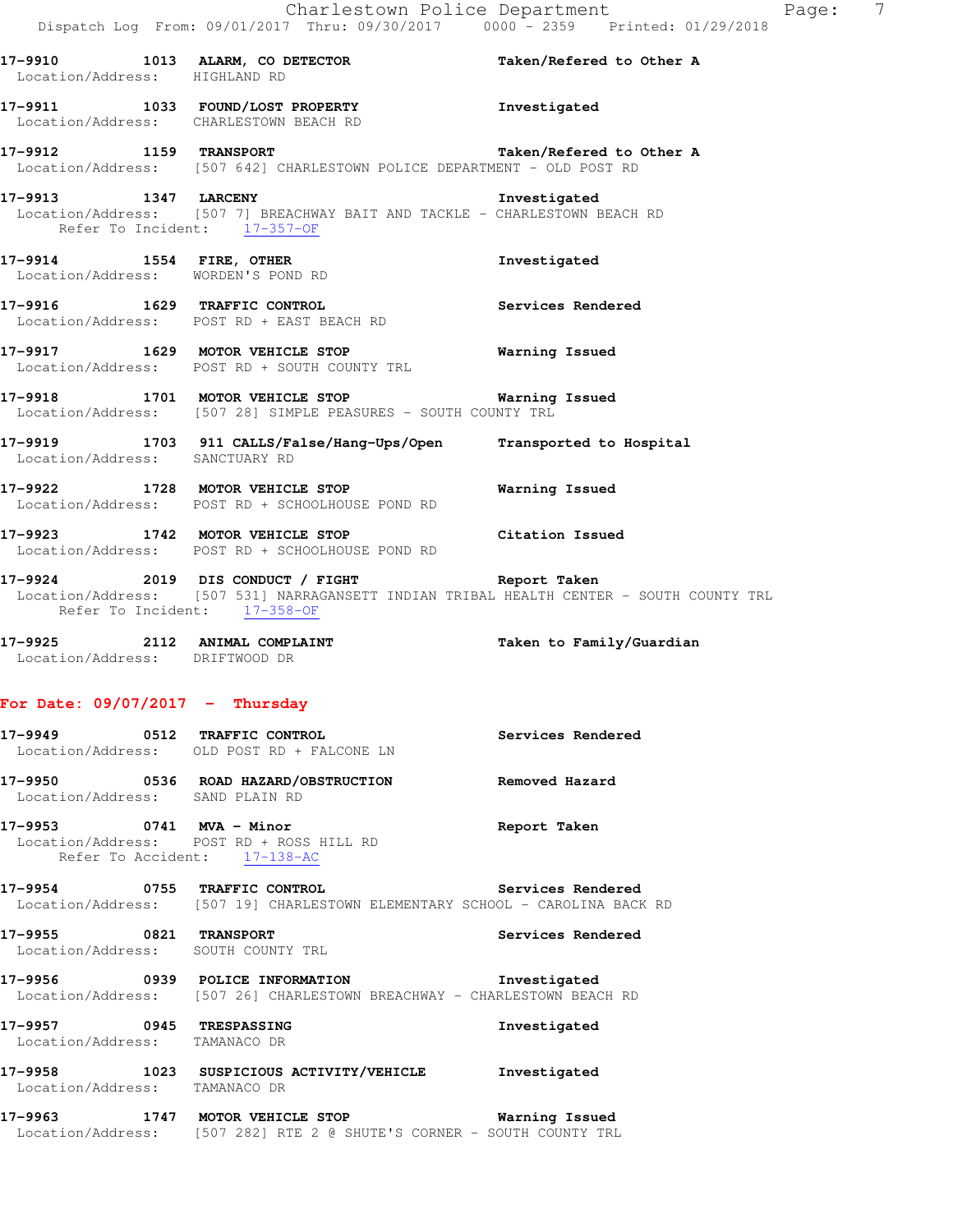**17-9910 1013 ALARM, CO DETECTOR Taken/Refered to Other A**  Location/Address: HIGHLAND RD **17-9911 1033 FOUND/LOST PROPERTY Investigated**  Location/Address: CHARLESTOWN BEACH RD **17-9912 1159 TRANSPORT Taken/Refered to Other A**  Location/Address: [507 642] CHARLESTOWN POLICE DEPARTMENT - OLD POST RD **17-9913 1347 LARCENY Investigated**  Location/Address: [507 7] BREACHWAY BAIT AND TACKLE - CHARLESTOWN BEACH RD Refer To Incident: 17-357-OF **17-9914 1554 FIRE, OTHER Investigated**  Location/Address: WORDEN'S POND RD **17-9916 1629 TRAFFIC CONTROL Services Rendered**  Location/Address: POST RD + EAST BEACH RD **17-9917 1629 MOTOR VEHICLE STOP Warning Issued**  Location/Address: POST RD + SOUTH COUNTY TRL **17-9918 1701 MOTOR VEHICLE STOP Warning Issued**  Location/Address: [507 28] SIMPLE PEASURES - SOUTH COUNTY TRL **17-9919 1703 911 CALLS/False/Hang-Ups/Open Transported to Hospital**  Location/Address: SANCTUARY RD **17-9922 1728 MOTOR VEHICLE STOP Warning Issued**  Location/Address: POST RD + SCHOOLHOUSE POND RD **17-9923 1742 MOTOR VEHICLE STOP Citation Issued**  Location/Address: POST RD + SCHOOLHOUSE POND RD

**17-9924 2019 DIS CONDUCT / FIGHT Report Taken**  Location/Address: [507 531] NARRAGANSETT INDIAN TRIBAL HEALTH CENTER - SOUTH COUNTY TRL Refer To Incident: 17-358-OF

**17-9925 2112 ANIMAL COMPLAINT Taken to Family/Guardian**  Location/Address: DRIFTWOOD DR

### **For Date: 09/07/2017 - Thursday**

|                                                           | 17-9949 0512 TRAFFIC CONTROL<br>Location/Address: OLD POST RD + FALCONE LN                                                | Services Rendered |
|-----------------------------------------------------------|---------------------------------------------------------------------------------------------------------------------------|-------------------|
| Location/Address: SAND PLAIN RD                           |                                                                                                                           |                   |
| 17-9953 0741 MVA - Minor                                  | Location/Address: POST RD + ROSS HILL RD<br>Refer To Accident: 17-138-AC                                                  | Report Taken      |
|                                                           | 17-9954 0755 TRAFFIC CONTROL<br>Location/Address: [507 19] CHARLESTOWN ELEMENTARY SCHOOL - CAROLINA BACK RD               | Services Rendered |
| 17-9955 0821 TRANSPORT                                    | Location/Address: SOUTH COUNTY TRL                                                                                        | Services Rendered |
|                                                           | 17-9956 0939 POLICE INFORMATION<br>Location/Address: [507 26] CHARLESTOWN BREACHWAY - CHARLESTOWN BEACH RD                | Investigated      |
| 17-9957 0945 TRESPASSING<br>Location/Address: TAMANACO DR |                                                                                                                           | Investigated      |
| Location/Address: TAMANACO DR                             | 17-9958 1023 SUSPICIOUS ACTIVITY/VEHICLE                                                                                  | Investigated      |
|                                                           | 17-9963 1747 MOTOR VEHICLE STOP 6 Warning Issued<br>Location/Address: [507 282] RTE 2 @ SHUTE'S CORNER - SOUTH COUNTY TRL |                   |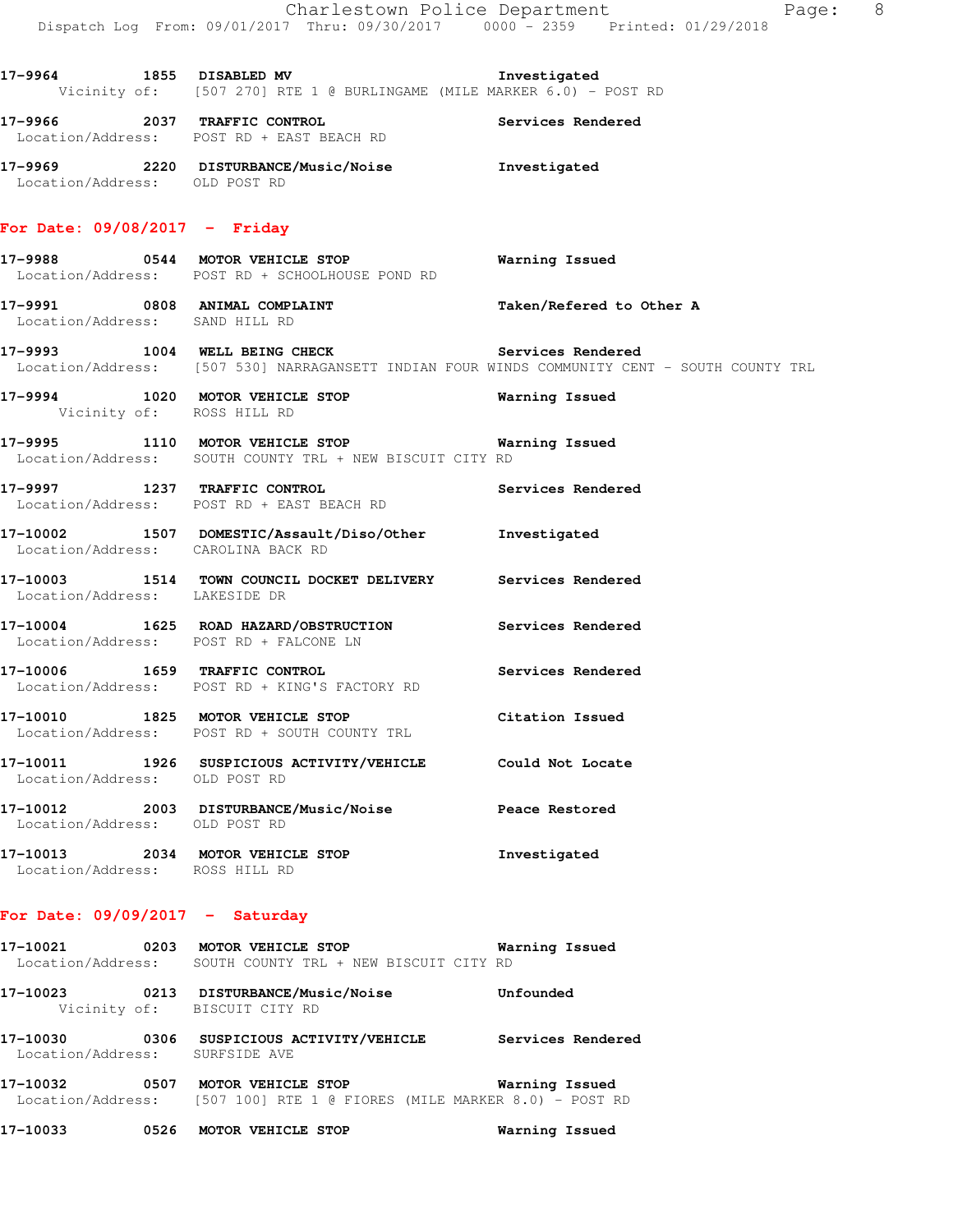|                                        | Dispatch Log From: 09/01/2017 Thru: 09/30/2017 0000 - 2359 Printed: 01/29/2018                                             | Charlestown Police Department<br>Page: 8                                                     |
|----------------------------------------|----------------------------------------------------------------------------------------------------------------------------|----------------------------------------------------------------------------------------------|
|                                        | 17-9964 1855 DISABLED MV 17-9964<br>Vicinity of: [507 270] RTE 1 @ BURLINGAME (MILE MARKER 6.0) - POST RD                  |                                                                                              |
|                                        | 17-9966 2037 TRAFFIC CONTROL 2000 Services Rendered<br>Location/Address: POST RD + EAST BEACH RD                           |                                                                                              |
| Location/Address: OLD POST RD          | 17-9969 2220 DISTURBANCE/Music/Noise https://www.filesophe.com                                                             |                                                                                              |
| For Date: 09/08/2017 - Friday          |                                                                                                                            |                                                                                              |
|                                        | 17-9988 0544 MOTOR VEHICLE STOP<br>Location/Address: POST RD + SCHOOLHOUSE POND RD                                         | Warning Issued                                                                               |
| Location/Address: SAND HILL RD         | 17-9991 0808 ANIMAL COMPLAINT                                                                                              | Taken/Refered to Other A                                                                     |
|                                        | 17-9993 1004 WELL BEING CHECK Services Rendered                                                                            | Location/Address: [507 530] NARRAGANSETT INDIAN FOUR WINDS COMMUNITY CENT - SOUTH COUNTY TRL |
| Vicinity of: ROSS HILL RD              | 17-9994 1020 MOTOR VEHICLE STOP <b>Warning Issued</b>                                                                      |                                                                                              |
|                                        | 17-9995                MOTOR VEHICLE STOP              Wa.<br>【Location/Address:    SOUTH COUNTY TRL + NEW BISCUIT CITY RD | Warning Issued                                                                               |
|                                        | 17-9997 1237 TRAFFIC CONTROL<br>Location/Address: POST RD + EAST BEACH RD                                                  | Services Rendered                                                                            |
| Location/Address: CAROLINA BACK RD     | 17-10002 1507 DOMESTIC/Assault/Diso/Other Investigated                                                                     |                                                                                              |
| Location/Address: LAKESIDE DR          | 17-10003 1514 TOWN COUNCIL DOCKET DELIVERY Services Rendered                                                               |                                                                                              |
| Location/Address: POST RD + FALCONE LN | 17-10004 1625 ROAD HAZARD/OBSTRUCTION Services Rendered                                                                    |                                                                                              |
| 17-10006 1659 TRAFFIC CONTROL          | Location/Address: POST RD + KING'S FACTORY RD                                                                              | Services Rendered                                                                            |
|                                        | 17-10010 1825 MOTOR VEHICLE STOP<br>Location/Address: POST RD + SOUTH COUNTY TRL                                           | Citation Issued                                                                              |
| Location/Address: OLD POST RD          | 17-10011 1926 SUSPICIOUS ACTIVITY/VEHICLE                                                                                  | Could Not Locate                                                                             |
| Location/Address: OLD POST RD          | 17-10012 2003 DISTURBANCE/Music/Noise                                                                                      | Peace Restored                                                                               |
| Location/Address: ROSS HILL RD         | 17-10013 2034 MOTOR VEHICLE STOP                                                                                           | Investigated                                                                                 |
| For Date: $09/09/2017 -$ Saturday      |                                                                                                                            |                                                                                              |
| 17-10021 0203 MOTOR VEHICLE STOP       |                                                                                                                            | Warning Issued                                                                               |

 Location/Address: SOUTH COUNTY TRL + NEW BISCUIT CITY RD **17-10023 0213 DISTURBANCE/Music/Noise Unfounded**  Vicinity of: BISCUIT CITY RD **17-10030 0306 SUSPICIOUS ACTIVITY/VEHICLE Services Rendered**  Location/Address: SURFSIDE AVE

**17-10032 0507 MOTOR VEHICLE STOP Warning Issued**  Location/Address: [507 100] RTE 1 @ FIORES (MILE MARKER 8.0) - POST RD

**17-10033 0526 MOTOR VEHICLE STOP Warning Issued**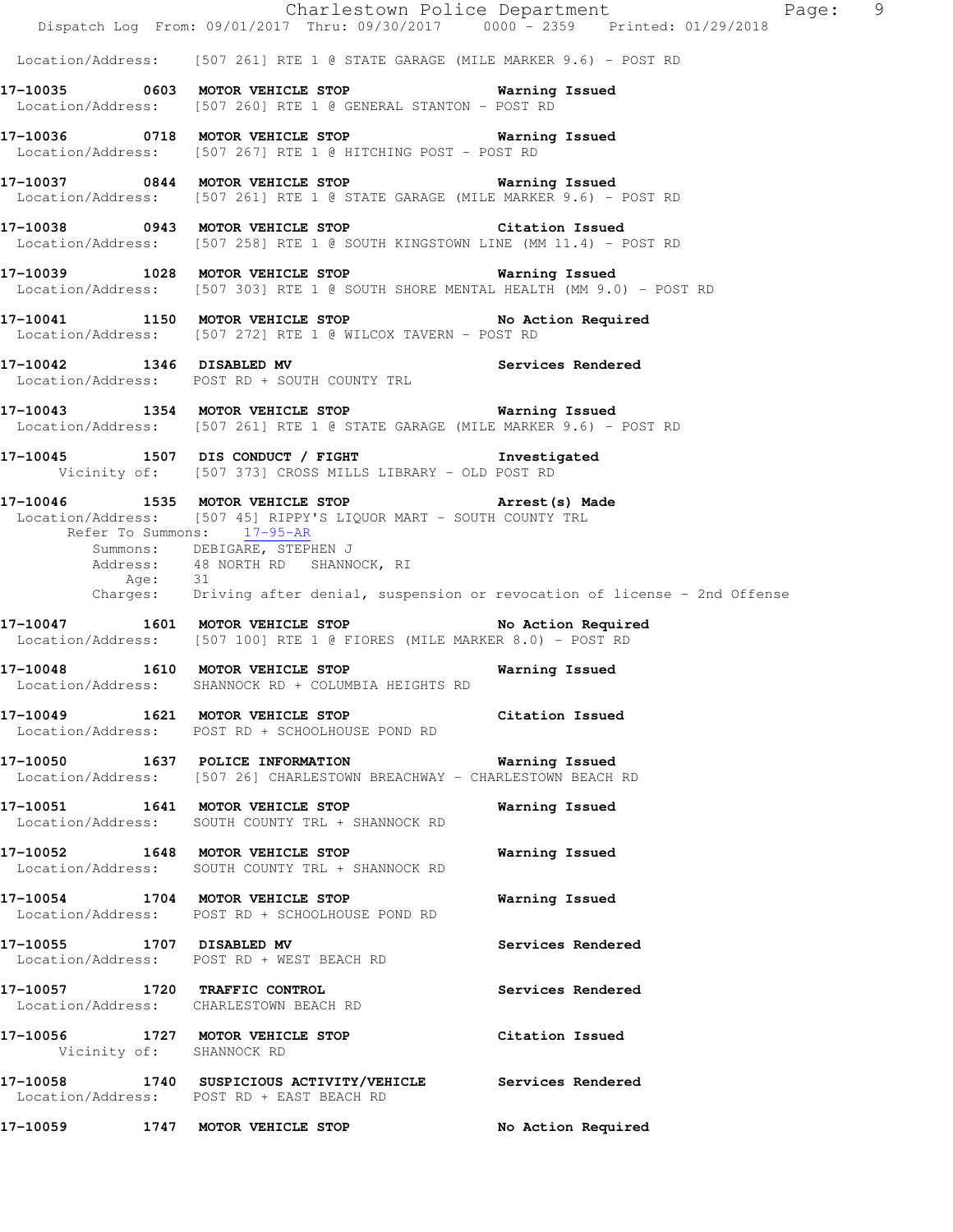|                               | Dispatch Log From: 09/01/2017 Thru: 09/30/2017 0000 - 2359 Printed: 01/29/2018                                                                                                                                                    | Charlestown Police Department<br>Page: 9 |
|-------------------------------|-----------------------------------------------------------------------------------------------------------------------------------------------------------------------------------------------------------------------------------|------------------------------------------|
|                               | Location/Address: [507 261] RTE 1 @ STATE GARAGE (MILE MARKER 9.6) - POST RD                                                                                                                                                      |                                          |
|                               | 17-10035 6603 MOTOR VEHICLE STOP 60 Warning Issued<br>Location/Address: [507 260] RTE 1 @ GENERAL STANTON - POST RD                                                                                                               |                                          |
|                               | 17-10036 0718 MOTOR VEHICLE STOP 6 Warning Issued<br>Location/Address: [507 267] RTE 1 @ HITCHING POST - POST RD                                                                                                                  |                                          |
|                               | 17-10037 0844 MOTOR VEHICLE STOP 6 Warning Issued<br>Location/Address: [507 261] RTE 1 @ STATE GARAGE (MILE MARKER 9.6) - POST RD                                                                                                 |                                          |
|                               | 17-10038 0943 MOTOR VEHICLE STOP Citation Issued<br>Location/Address: [507 258] RTE 1 @ SOUTH KINGSTOWN LINE (MM 11.4) - POST RD                                                                                                  |                                          |
|                               | 17-10039 1028 MOTOR VEHICLE STOP 6 Warning Issued<br>Location/Address: [507 303] RTE 1 @ SOUTH SHORE MENTAL HEALTH (MM 9.0) - POST RD                                                                                             |                                          |
|                               | 17-10041 1150 MOTOR VEHICLE STOP No Action Required<br>Location/Address: [507 272] RTE 1 @ WILCOX TAVERN - POST RD                                                                                                                |                                          |
|                               | 17-10042 1346 DISABLED MV Services Rendered<br>Location/Address: POST RD + SOUTH COUNTY TRL                                                                                                                                       |                                          |
|                               | 17-10043 1354 MOTOR VEHICLE STOP 6 Warning Issued<br>Location/Address: [507 261] RTE 1 @ STATE GARAGE (MILE MARKER 9.6) - POST RD                                                                                                 |                                          |
|                               | 17-10045 1507 DIS CONDUCT / FIGHT 1nvestigated<br>Vicinity of: [507 373] CROSS MILLS LIBRARY - OLD POST RD                                                                                                                        |                                          |
| Age: 31                       | 17-10046 1535 MOTOR VEHICLE STOP 17-10046 Arrest (s) Made<br>Location/Address: [507 45] RIPPY'S LIQUOR MART - SOUTH COUNTY TRL<br>Refer To Summons: 17-95-AR<br>Summons: DEBIGARE, STEPHEN J<br>Address: 48 NORTH RD SHANNOCK, RI |                                          |
|                               | Charges: Driving after denial, suspension or revocation of license - 2nd Offense                                                                                                                                                  |                                          |
|                               | 17-10047 1601 MOTOR VEHICLE STOP<br>Location/Address: [507 100] RTE 1 @ FIORES (MILE MARKER 8.0) - POST RD                                                                                                                        | No Action Required                       |
|                               | 17-10048 1610 MOTOR VEHICLE STOP<br>Location/Address: SHANNOCK RD + COLUMBIA HEIGHTS RD                                                                                                                                           | Warning Issued                           |
|                               | 17-10049 1621 MOTOR VEHICLE STOP<br>Location/Address: POST RD + SCHOOLHOUSE POND RD                                                                                                                                               | Citation Issued                          |
|                               | 17-10050 1637 POLICE INFORMATION Warning Issued<br>Location/Address: [507 26] CHARLESTOWN BREACHWAY - CHARLESTOWN BEACH RD                                                                                                        |                                          |
|                               | 17-10051 1641 MOTOR VEHICLE STOP<br>Location/Address: SOUTH COUNTY TRL + SHANNOCK RD                                                                                                                                              | Warning Issued                           |
|                               | 17-10052 1648 MOTOR VEHICLE STOP<br>Location/Address: SOUTH COUNTY TRL + SHANNOCK RD                                                                                                                                              | Warning Issued                           |
|                               | 17-10054 1704 MOTOR VEHICLE STOP<br>Location/Address: POST RD + SCHOOLHOUSE POND RD                                                                                                                                               | Warning Issued                           |
| 17-10055 1707 DISABLED MV     | Location/Address: POST RD + WEST BEACH RD                                                                                                                                                                                         | Services Rendered                        |
| 17-10057 1720 TRAFFIC CONTROL | Location/Address: CHARLESTOWN BEACH RD                                                                                                                                                                                            | Services Rendered                        |
| Vicinity of: SHANNOCK RD      | 17-10056 1727 MOTOR VEHICLE STOP                                                                                                                                                                                                  | Citation Issued                          |
|                               | 17-10058 1740 SUSPICIOUS ACTIVITY/VEHICLE Services Rendered<br>Location/Address: POST RD + EAST BEACH RD                                                                                                                          |                                          |
|                               | 17-10059 1747 MOTOR VEHICLE STOP                                                                                                                                                                                                  | No Action Required                       |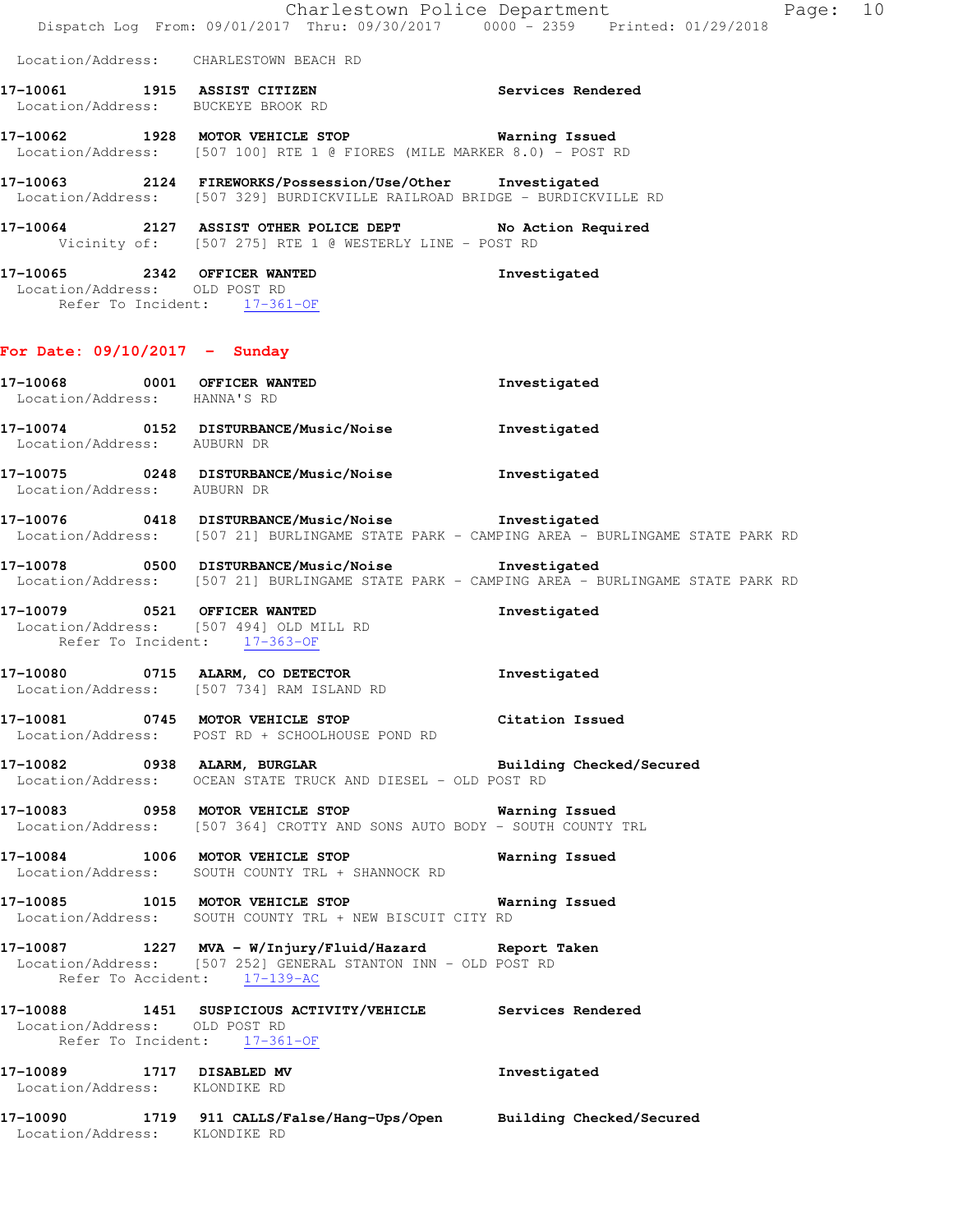Location/Address: CHARLESTOWN BEACH RD

- **17-10061 1915 ASSIST CITIZEN Services Rendered**  Location/Address: BUCKEYE BROOK RD
- **17-10062 1928 MOTOR VEHICLE STOP Warning Issued**  Location/Address: [507 100] RTE 1 @ FIORES (MILE MARKER 8.0) - POST RD

**17-10063 2124 FIREWORKS/Possession/Use/Other Investigated**  Location/Address: [507 329] BURDICKVILLE RAILROAD BRIDGE - BURDICKVILLE RD

**17-10064 2127 ASSIST OTHER POLICE DEPT No Action Required**  Vicinity of: [507 275] RTE 1 @ WESTERLY LINE - POST RD

| 17-10065           | 2342 |             | <b>OFFICER WANTED</b> | Investigated |
|--------------------|------|-------------|-----------------------|--------------|
| Location/Address:  |      | OLD POST RD |                       |              |
| Refer To Incident: |      |             | $17 - 361 - 0F$       |              |

- **For Date: 09/10/2017 Sunday**
- **17-10068 0001 OFFICER WANTED Investigated**  Location/Address: HANNA'S RD **17-10074 0152 DISTURBANCE/Music/Noise Investigated**  Location/Address: AUBURN DR **17-10075 0248 DISTURBANCE/Music/Noise Investigated**  Location/Address: AUBURN DR **17-10076 0418 DISTURBANCE/Music/Noise Investigated**  Location/Address: [507 21] BURLINGAME STATE PARK - CAMPING AREA - BURLINGAME STATE PARK RD **17-10078 0500 DISTURBANCE/Music/Noise Investigated**  Location/Address: [507 21] BURLINGAME STATE PARK - CAMPING AREA - BURLINGAME STATE PARK RD **17-10079 0521 OFFICER WANTED Investigated**  Location/Address: [507 494] OLD MILL RD Refer To Incident: 17-363-OF **17-10080 0715 ALARM, CO DETECTOR Investigated**  Location/Address: [507 734] RAM ISLAND RD **17-10081 0745 MOTOR VEHICLE STOP Citation Issued**  Location/Address: POST RD + SCHOOLHOUSE POND RD **17-10082 0938 ALARM, BURGLAR Building Checked/Secured**  Location/Address: OCEAN STATE TRUCK AND DIESEL - OLD POST RD **17-10083 0958 MOTOR VEHICLE STOP Warning Issued**  Location/Address: [507 364] CROTTY AND SONS AUTO BODY - SOUTH COUNTY TRL **17-10084 1006 MOTOR VEHICLE STOP Warning Issued**  Location/Address: SOUTH COUNTY TRL + SHANNOCK RD **17-10085 1015 MOTOR VEHICLE STOP Warning Issued**  Location/Address: SOUTH COUNTY TRL + NEW BISCUIT CITY RD **17-10087 1227 MVA - W/Injury/Fluid/Hazard Report Taken**  Location/Address: [507 252] GENERAL STANTON INN - OLD POST RD Refer To Accident: 17-139-AC **17-10088 1451 SUSPICIOUS ACTIVITY/VEHICLE Services Rendered**  Location/Address: OLD POST RD Refer To Incident: 17-361-OF **17-10089 1717 DISABLED MV Investigated**  Location/Address: KLONDIKE RD **17-10090 1719 911 CALLS/False/Hang-Ups/Open Building Checked/Secured**  Location/Address: KLONDIKE RD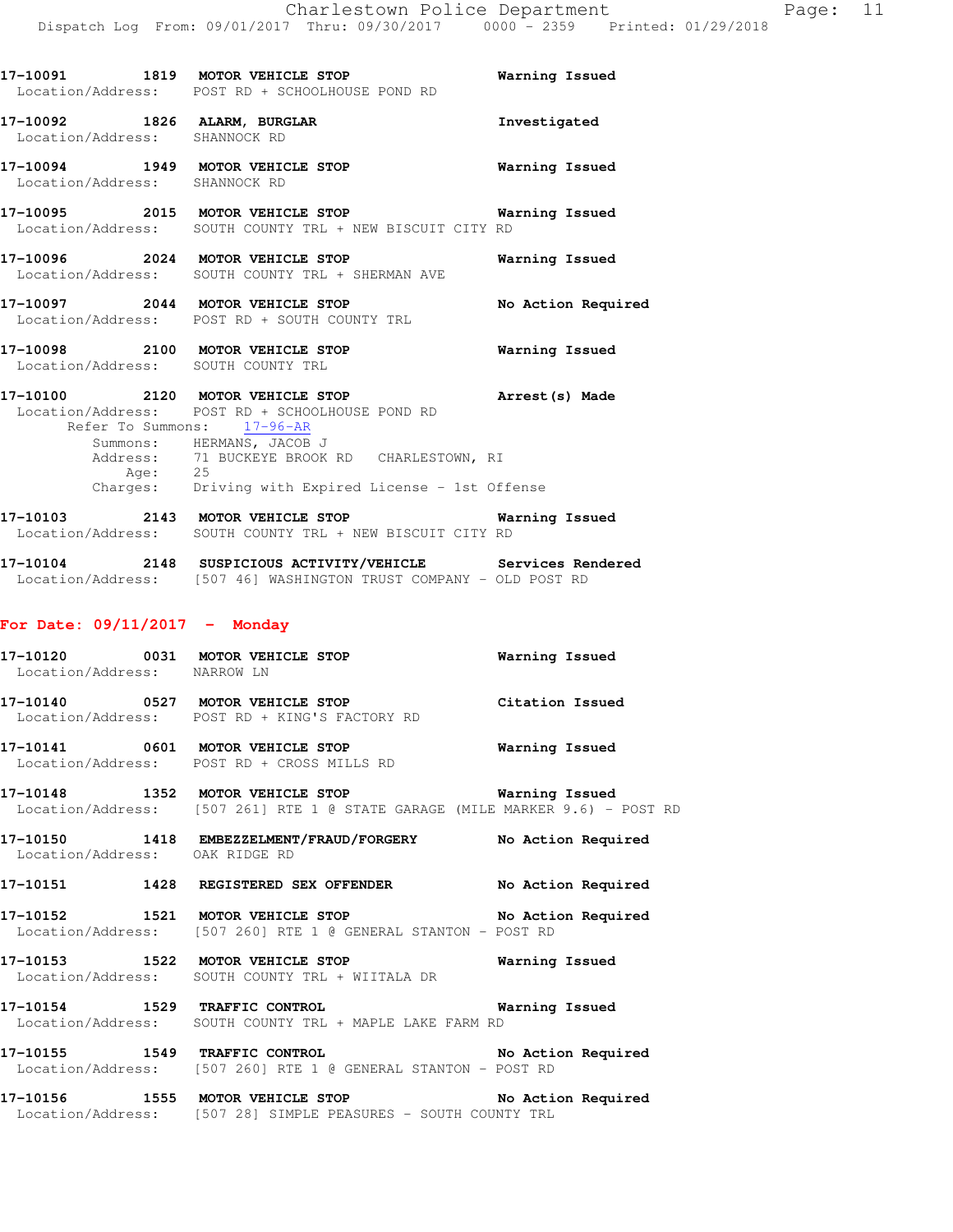|                               | 17-10091 1819 MOTOR VEHICLE STOP<br>Location/Address: POST RD + SCHOOLHOUSE POND RD                                                                                                                                                                                   | Warning Issued        |
|-------------------------------|-----------------------------------------------------------------------------------------------------------------------------------------------------------------------------------------------------------------------------------------------------------------------|-----------------------|
| Location/Address: SHANNOCK RD | 17-10092 1826 ALARM, BURGLAR                                                                                                                                                                                                                                          | Investigated          |
| Location/Address: SHANNOCK RD | 17-10094 1949 MOTOR VEHICLE STOP                                                                                                                                                                                                                                      | <b>Warning Issued</b> |
|                               | 17-10095 2015 MOTOR VEHICLE STOP 6 Warning Issued<br>Location/Address: SOUTH COUNTY TRL + NEW BISCUIT CITY RD                                                                                                                                                         |                       |
|                               | 17-10096 2024 MOTOR VEHICLE STOP<br>Location/Address: SOUTH COUNTY TRL + SHERMAN AVE                                                                                                                                                                                  | Warning Issued        |
|                               | 17-10097 2044 MOTOR VEHICLE STOP<br>Location/Address: POST RD + SOUTH COUNTY TRL                                                                                                                                                                                      | No Action Required    |
|                               | 17-10098 2100 MOTOR VEHICLE STOP 60 Warning Issued<br>Location/Address: SOUTH COUNTY TRL                                                                                                                                                                              |                       |
| Age: 25                       | 17-10100 2120 MOTOR VEHICLE STOP Arrest (s) Made<br>Location/Address: POST RD + SCHOOLHOUSE POND RD<br>Refer To Summons: 17-96-AR<br>Summons: HERMANS, JACOB J<br>Address: 71 BUCKEYE BROOK RD CHARLESTOWN, RI<br>Charges: Driving with Expired License - 1st Offense |                       |
|                               | 17-10103 2143 MOTOR VEHICLE STOP<br>Location/Address: SOUTH COUNTY TRL + NEW BISCUIT CITY RD                                                                                                                                                                          | Warning Issued        |
|                               | 17-10104 2148 SUSPICIOUS ACTIVITY/VEHICLE Services Rendered<br>Location/Address: [507 46] WASHINGTON TRUST COMPANY - OLD POST RD                                                                                                                                      |                       |

### **For Date: 09/11/2017 - Monday**

| 17-10120          |      | 0031 MOTOR VEHICLE STOP     | Warning Issued  |
|-------------------|------|-----------------------------|-----------------|
| Location/Address: |      | NARROW IN                   |                 |
| 17-10140          | 0527 | MOTOR VEHICLE STOP          | Citation Issued |
| Location/Address: |      | POST RD + KING'S FACTORY RD |                 |

**17-10141 0601 MOTOR VEHICLE STOP Warning Issued**  Location/Address: POST RD + CROSS MILLS RD

**17-10148 1352 MOTOR VEHICLE STOP Warning Issued**  Location/Address: [507 261] RTE 1 @ STATE GARAGE (MILE MARKER 9.6) - POST RD

**17-10150 1418 EMBEZZELMENT/FRAUD/FORGERY No Action Required**  Location/Address: OAK RIDGE RD

**17-10151 1428 REGISTERED SEX OFFENDER No Action Required 17-10152 1521 MOTOR VEHICLE STOP No Action Required** 

Location/Address: [507 260] RTE 1 @ GENERAL STANTON - POST RD

**17-10153 1522 MOTOR VEHICLE STOP Warning Issued**  Location/Address: SOUTH COUNTY TRL + WIITALA DR

**17-10154 1529 TRAFFIC CONTROL Warning Issued**  Location/Address: SOUTH COUNTY TRL + MAPLE LAKE FARM RD

**17-10155 1549 TRAFFIC CONTROL No Action Required**  Location/Address: [507 260] RTE 1 @ GENERAL STANTON - POST RD

**17-10156 1555 MOTOR VEHICLE STOP No Action Required**  Location/Address: [507 28] SIMPLE PEASURES - SOUTH COUNTY TRL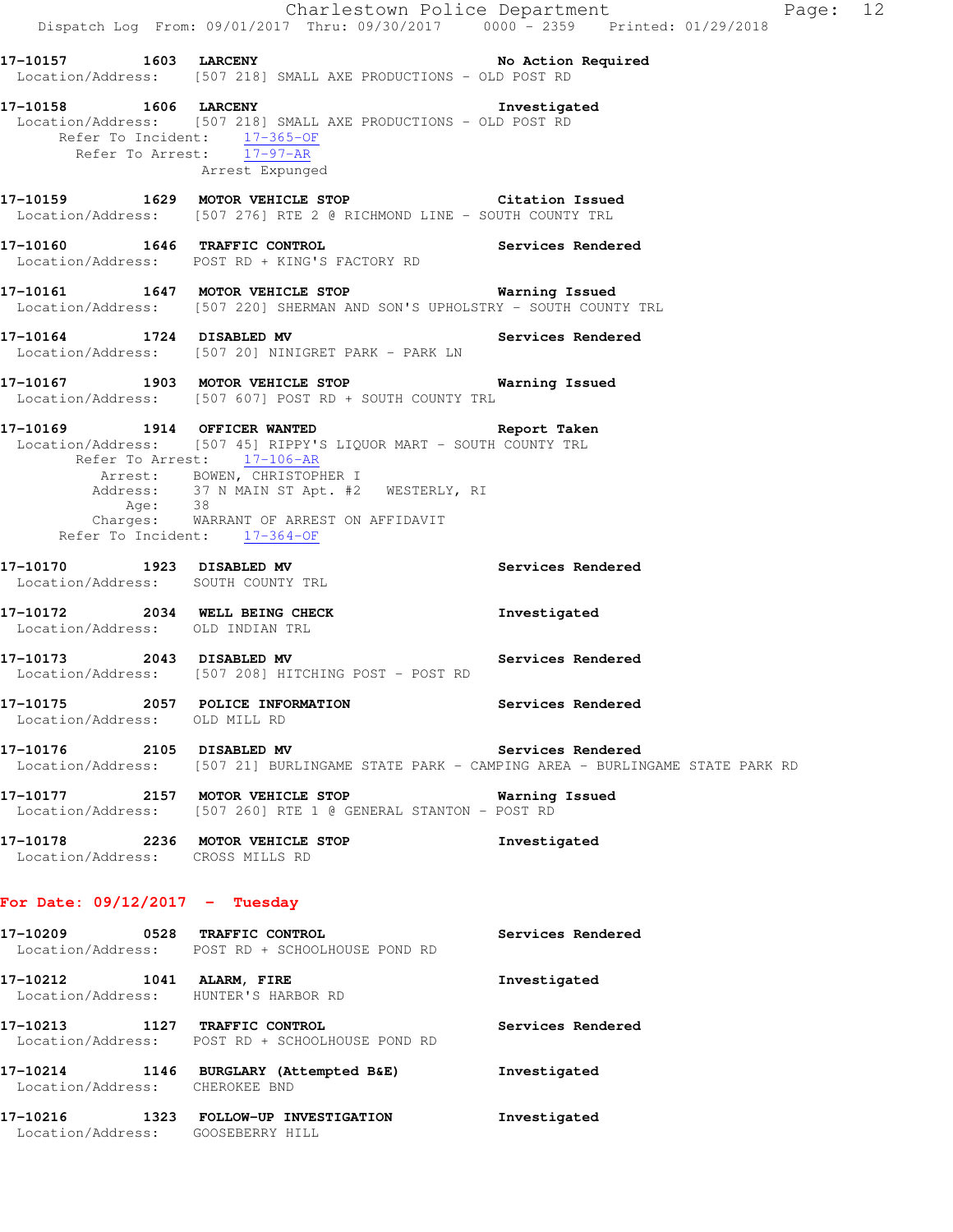Charlestown Police Department Fage: 12 Dispatch Log From: 09/01/2017 Thru: 09/30/2017 0000 - 2359 Printed: 01/29/2018 **17-10157 1603 LARCENY No Action Required**  Location/Address: [507 218] SMALL AXE PRODUCTIONS - OLD POST RD **17-10158 1606 LARCENY Investigated**  Location/Address: [507 218] SMALL AXE PRODUCTIONS - OLD POST RD Refer To Incident: 17-365-OF Refer To Arrest: 17-97-AR Arrest Expunged **17-10159 1629 MOTOR VEHICLE STOP Citation Issued**  Location/Address: [507 276] RTE 2 @ RICHMOND LINE - SOUTH COUNTY TRL **17-10160 1646 TRAFFIC CONTROL Services Rendered**  Location/Address: POST RD + KING'S FACTORY RD **17-10161 1647 MOTOR VEHICLE STOP Warning Issued**  Location/Address: [507 220] SHERMAN AND SON'S UPHOLSTRY - SOUTH COUNTY TRL **17-10164 1724 DISABLED MV Services Rendered**  Location/Address: [507 20] NINIGRET PARK - PARK LN **17-10167 1903 MOTOR VEHICLE STOP Warning Issued**  Location/Address: [507 607] POST RD + SOUTH COUNTY TRL **17-10169 1914 OFFICER WANTED Report Taken**  Location/Address: [507 45] RIPPY'S LIQUOR MART - SOUTH COUNTY TRL Refer To Arrest: 17-106-AR Arrest: BOWEN, CHRISTOPHER I Address: 37 N MAIN ST Apt. #2 WESTERLY, RI Age: 38 Charges: WARRANT OF ARREST ON AFFIDAVIT Refer To Incident: 17-364-OF **17-10170 1923 DISABLED MV Services Rendered**  Location/Address: SOUTH COUNTY TRL **17-10172 2034 WELL BEING CHECK Investigated**  Location/Address: OLD INDIAN TRL **17-10173 2043 DISABLED MV Services Rendered**  Location/Address: [507 208] HITCHING POST - POST RD **17-10175 2057 POLICE INFORMATION Services Rendered**  Location/Address: OLD MILL RD **17-10176 2105 DISABLED MV Services Rendered**  Location/Address: [507 21] BURLINGAME STATE PARK - CAMPING AREA - BURLINGAME STATE PARK RD **17-10177 2157 MOTOR VEHICLE STOP Warning Issued**  Location/Address: [507 260] RTE 1 @ GENERAL STANTON - POST RD **17-10178 2236 MOTOR VEHICLE STOP Investigated**  Location/Address: CROSS MILLS RD **For Date: 09/12/2017 - Tuesday 17-10209 0528 TRAFFIC CONTROL Services Rendered**  Location/Address: POST RD + SCHOOLHOUSE POND RD

**17-10212 1041 ALARM, FIRE Investigated**  Location/Address: HUNTER'S HARBOR RD **17-10213 1127 TRAFFIC CONTROL Services Rendered**  Location/Address: POST RD + SCHOOLHOUSE POND RD **17-10214 1146 BURGLARY (Attempted B&E) Investigated**  Location/Address: CHEROKEE BND **17-10216 1323 FOLLOW-UP INVESTIGATION Investigated** 

Location/Address: GOOSEBERRY HILL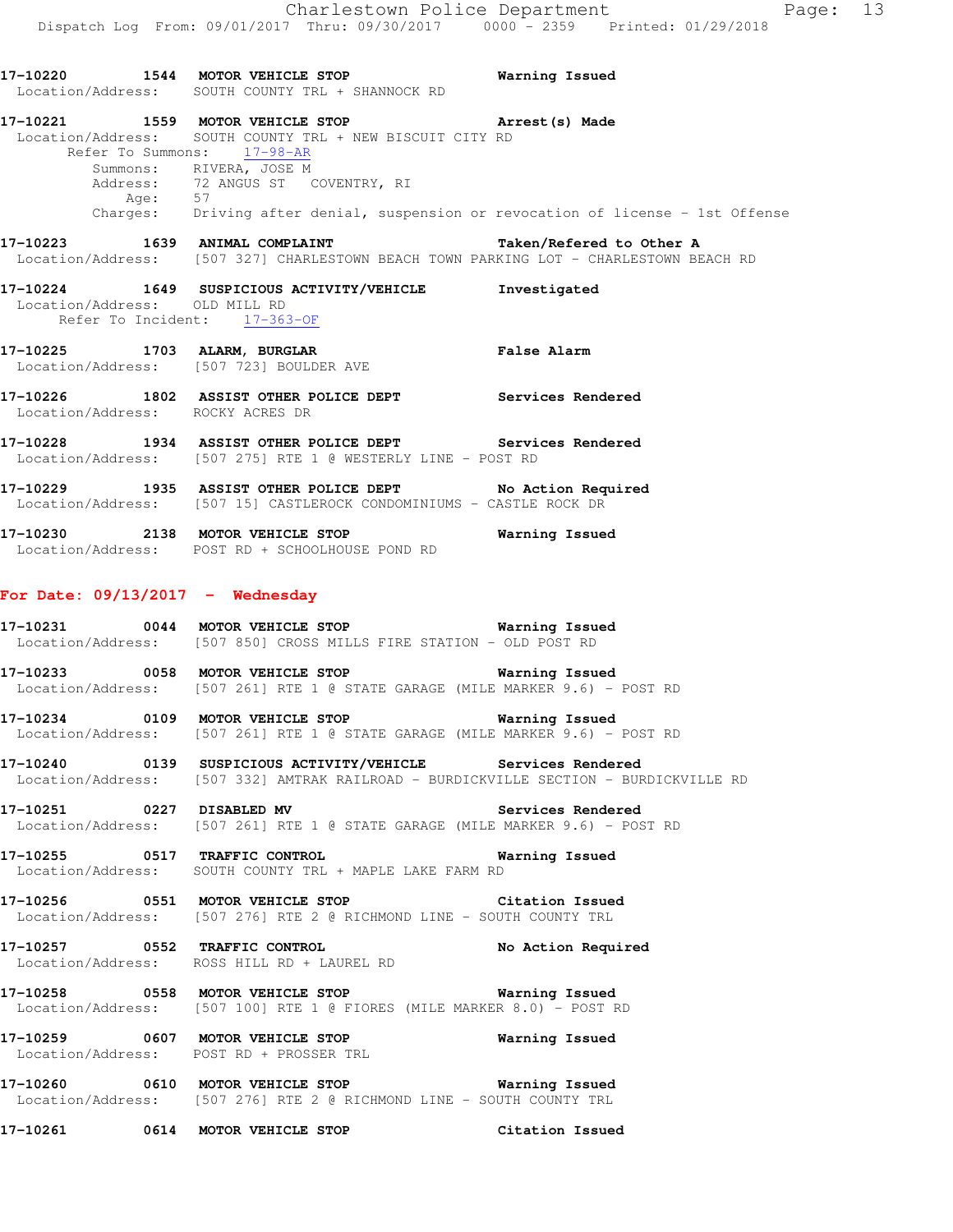**17-10220 1544 MOTOR VEHICLE STOP Warning Issued**  Location/Address: SOUTH COUNTY TRL + SHANNOCK RD **17-10221 1559 MOTOR VEHICLE STOP Arrest(s) Made**  Location/Address: SOUTH COUNTY TRL + NEW BISCUIT CITY RD Refer To Summons: 17-98-AR Summons: RIVERA, JOSE M Address: 72 ANGUS ST COVENTRY, RI Age: 57<br>Charges: Dri Driving after denial, suspension or revocation of license - 1st Offense **17-10223 1639 ANIMAL COMPLAINT Taken/Refered to Other A**  Location/Address: [507 327] CHARLESTOWN BEACH TOWN PARKING LOT - CHARLESTOWN BEACH RD **17-10224 1649 SUSPICIOUS ACTIVITY/VEHICLE Investigated**  Location/Address: OLD MILL RD Refer To Incident: 17-363-OF **17-10225 1703 ALARM, BURGLAR False Alarm**  Location/Address: [507 723] BOULDER AVE **17-10226 1802 ASSIST OTHER POLICE DEPT Services Rendered**  Location/Address: ROCKY ACRES DR **17-10228 1934 ASSIST OTHER POLICE DEPT Services Rendered**  Location/Address: [507 275] RTE 1 @ WESTERLY LINE - POST RD **17-10229 1935 ASSIST OTHER POLICE DEPT No Action Required**  Location/Address: [507 15] CASTLEROCK CONDOMINIUMS - CASTLE ROCK DR **17-10230 2138 MOTOR VEHICLE STOP Warning Issued**  Location/Address: POST RD + SCHOOLHOUSE POND RD **For Date: 09/13/2017 - Wednesday 17-10231 0044 MOTOR VEHICLE STOP Warning Issued**  Location/Address: [507 850] CROSS MILLS FIRE STATION - OLD POST RD **17-10233 0058 MOTOR VEHICLE STOP Warning Issued**  Location/Address: [507 261] RTE 1 @ STATE GARAGE (MILE MARKER 9.6) - POST RD **17-10234 0109 MOTOR VEHICLE STOP Warning Issued**  Location/Address: [507 261] RTE 1 @ STATE GARAGE (MILE MARKER 9.6) - POST RD **17-10240 0139 SUSPICIOUS ACTIVITY/VEHICLE Services Rendered**  Location/Address: [507 332] AMTRAK RAILROAD - BURDICKVILLE SECTION - BURDICKVILLE RD **17-10251 0227 DISABLED MV Services Rendered**  Location/Address: [507 261] RTE 1 @ STATE GARAGE (MILE MARKER 9.6) - POST RD **17-10255 0517 TRAFFIC CONTROL Warning Issued**  Location/Address: SOUTH COUNTY TRL + MAPLE LAKE FARM RD **17-10256 0551 MOTOR VEHICLE STOP Citation Issued**  Location/Address: [507 276] RTE 2 @ RICHMOND LINE - SOUTH COUNTY TRL **17-10257 0552 TRAFFIC CONTROL No Action Required**  Location/Address: ROSS HILL RD + LAUREL RD **17-10258 0558 MOTOR VEHICLE STOP Warning Issued**  Location/Address: [507 100] RTE 1 @ FIORES (MILE MARKER 8.0) - POST RD **17-10259 0607 MOTOR VEHICLE STOP Warning Issued**  Location/Address: POST RD + PROSSER TRL **17-10260 0610 MOTOR VEHICLE STOP Warning Issued**  Location/Address: [507 276] RTE 2 @ RICHMOND LINE - SOUTH COUNTY TRL **17-10261 0614 MOTOR VEHICLE STOP Citation Issued**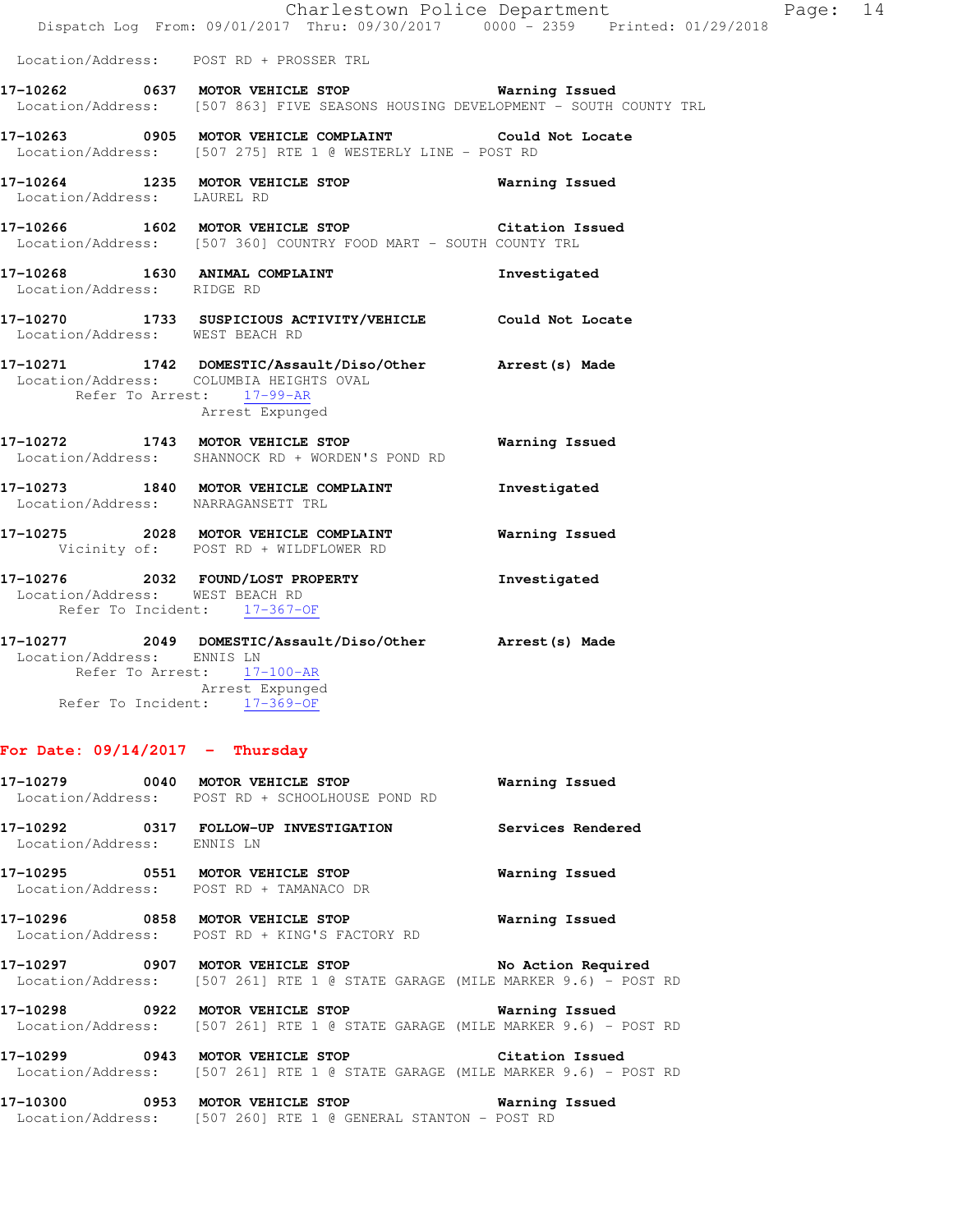|                                                                      | Dispatch Log From: 09/01/2017 Thru: 09/30/2017 0000 - 2359 Printed: 01/29/2018                                                            | Charlestown Police Department | Page: 14 |  |
|----------------------------------------------------------------------|-------------------------------------------------------------------------------------------------------------------------------------------|-------------------------------|----------|--|
| Location/Address: POST RD + PROSSER TRL                              |                                                                                                                                           |                               |          |  |
|                                                                      | 17-10262 0637 MOTOR VEHICLE STOP <b>Marning Issued</b><br>Location/Address: [507 863] FIVE SEASONS HOUSING DEVELOPMENT - SOUTH COUNTY TRL |                               |          |  |
|                                                                      | 17-10263 0905 MOTOR VEHICLE COMPLAINT Could Not Locate<br>Location/Address: [507 275] RTE 1 @ WESTERLY LINE - POST RD                     |                               |          |  |
| Location/Address: LAUREL RD                                          | 17-10264 1235 MOTOR VEHICLE STOP <b>Warning Issued</b>                                                                                    |                               |          |  |
|                                                                      | 17-10266 1602 MOTOR VEHICLE STOP 6 Citation Issued<br>Location/Address: [507 360] COUNTRY FOOD MART - SOUTH COUNTY TRL                    |                               |          |  |
| Location/Address: RIDGE RD                                           | 17-10268 1630 ANIMAL COMPLAINT                                                                                                            | Investigated                  |          |  |
| Location/Address: WEST BEACH RD                                      | 17-10270 1733 SUSPICIOUS ACTIVITY/VEHICLE Could Not Locate                                                                                |                               |          |  |
| Location/Address: COLUMBIA HEIGHTS OVAL<br>Refer To Arrest: 17-99-AR | 17-10271 1742 DOMESTIC/Assault/Diso/Other Arrest(s) Made<br>Arrest Expunged                                                               |                               |          |  |
|                                                                      | 17-10272 1743 MOTOR VEHICLE STOP<br>Location/Address: SHANNOCK RD + WORDEN'S POND RD                                                      | Warning Issued                |          |  |
| Location/Address: NARRAGANSETT TRL                                   | 17-10273 1840 MOTOR VEHICLE COMPLAINT                                                                                                     | Investigated                  |          |  |
|                                                                      | 17-10275 2028 MOTOR VEHICLE COMPLAINT<br>Vicinity of: POST RD + WILDFLOWER RD                                                             | Warning Issued                |          |  |
| Location/Address: WEST BEACH RD<br>Refer To Incident: 17-367-OF      | 17-10276 2032 FOUND/LOST PROPERTY                                                                                                         | Investigated                  |          |  |
| Location/Address: ENNIS LN                                           | 17-10277  2049 DOMESTIC/Assault/Diso/Other Arrest(s) Made<br>Refer To Arrest: 17-100-AR                                                   |                               |          |  |

 Arrest Expunged Refer To Incident: 17-369-OF

# **For Date: 09/14/2017 - Thursday**

|                            | $17-10279$ 0040 MOTOR VEHICLE STOP<br>Location/Address: POST RD + SCHOOLHOUSE POND RD                                                    | Warning Issued |
|----------------------------|------------------------------------------------------------------------------------------------------------------------------------------|----------------|
| Location/Address: ENNIS LN |                                                                                                                                          |                |
|                            | Location/Address: POST RD + TAMANACO DR                                                                                                  | Warning Issued |
|                            | Location/Address: POST RD + KING'S FACTORY RD                                                                                            | Warning Issued |
|                            | 17-10297 0907 MOTOR VEHICLE STOP 50 No Action Required<br>  Location/Address: [507 261] RTE 1 @ STATE GARAGE (MILE MARKER 9.6) - POST RD |                |
|                            | 17-10298 0922 MOTOR VEHICLE STOP 6 Warning Issued<br>  Location/Address: [507 261] RTE 1 @ STATE GARAGE (MILE MARKER 9.6) - POST RD      |                |
|                            | 17-10299 0943 MOTOR VEHICLE STOP Citation Issued<br>Location/Address: [507 261] RTE 1 @ STATE GARAGE (MILE MARKER 9.6) - POST RD         |                |
|                            | 17-10300 0953 MOTOR VEHICLE STOP                                                                                                         | Warning Issued |

Location/Address: [507 260] RTE 1 @ GENERAL STANTON - POST RD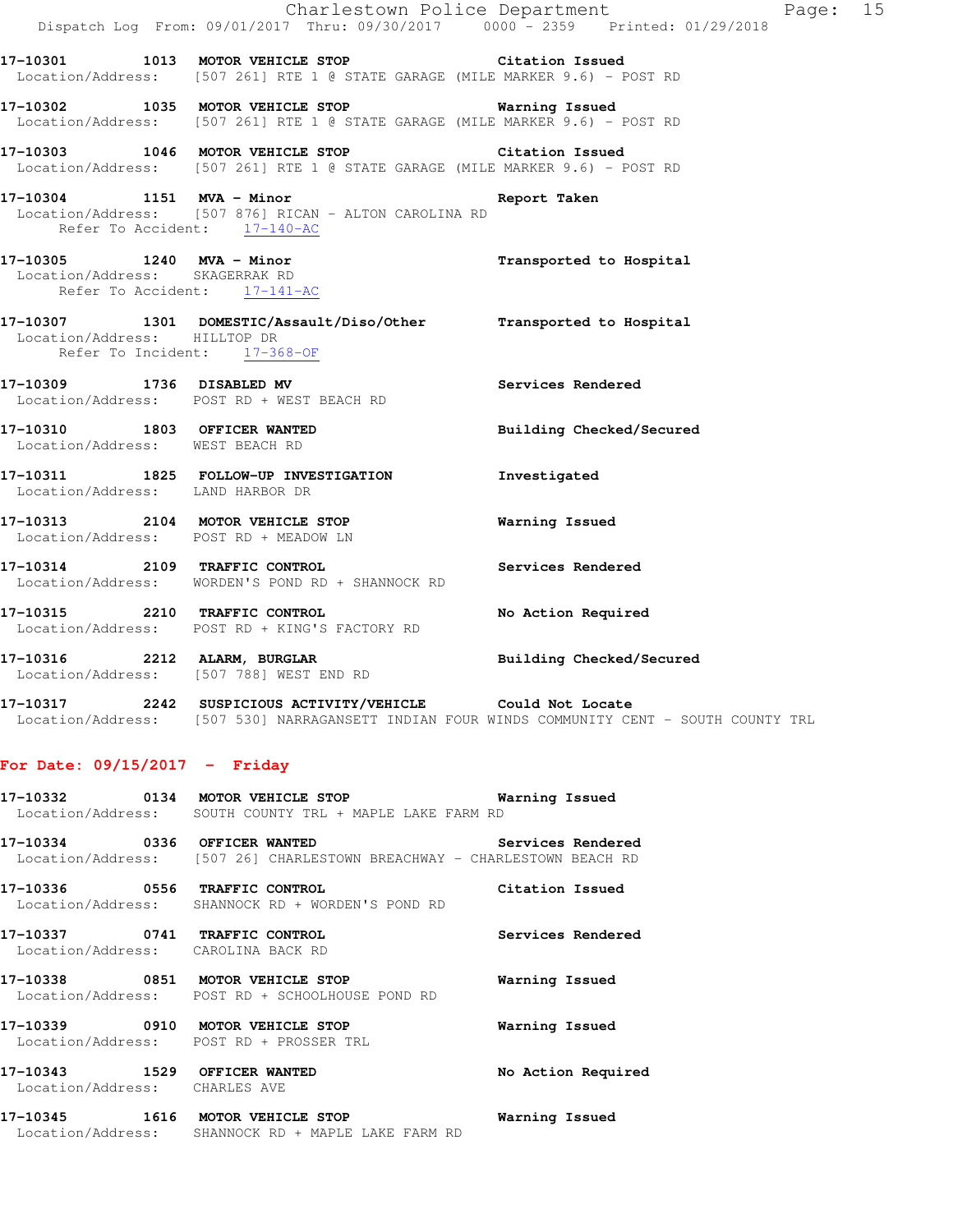|                                                                                             | Dispatch Log From: 09/01/2017 Thru: 09/30/2017 0000 <sup>-</sup> 2359 Printed: 01/29/2018                                         | Charlestown Police Department | Page: 15 |  |
|---------------------------------------------------------------------------------------------|-----------------------------------------------------------------------------------------------------------------------------------|-------------------------------|----------|--|
|                                                                                             | 17-10301 1013 MOTOR VEHICLE STOP Citation Issued<br>Location/Address: [507 261] RTE 1 @ STATE GARAGE (MILE MARKER 9.6) - POST RD  |                               |          |  |
|                                                                                             | 17-10302 1035 MOTOR VEHICLE STOP 6 Warning Issued<br>Location/Address: [507 261] RTE 1 @ STATE GARAGE (MILE MARKER 9.6) - POST RD |                               |          |  |
|                                                                                             | 17-10303 1046 MOTOR VEHICLE STOP Citation Issued<br>Location/Address: [507 261] RTE 1 @ STATE GARAGE (MILE MARKER 9.6) - POST RD  |                               |          |  |
| 17-10304 1151 MVA - Minor<br>Refer To Accident: 17-140-AC                                   | Location/Address: [507 876] RICAN - ALTON CAROLINA RD                                                                             | Report Taken                  |          |  |
| 17-10305 1240 MVA - Minor<br>Location/Address: SKAGERRAK RD<br>Refer To Accident: 17-141-AC |                                                                                                                                   | Transported to Hospital       |          |  |
| Location/Address: HILLTOP DR<br>Refer To Incident: 17-368-OF                                | 17-10307 1301 DOMESTIC/Assault/Diso/Other Transported to Hospital                                                                 |                               |          |  |
|                                                                                             | 17-10309 1736 DISABLED MV<br>Location/Address: POST RD + WEST BEACH RD                                                            | Services Rendered             |          |  |
| Location/Address: WEST BEACH RD                                                             | 17-10310 1803 OFFICER WANTED                                                                                                      | Building Checked/Secured      |          |  |
| Location/Address: LAND HARBOR DR                                                            | 17-10311 1825 FOLLOW-UP INVESTIGATION                                                                                             | Investigated                  |          |  |
| Location/Address: POST RD + MEADOW LN                                                       | 17-10313 2104 MOTOR VEHICLE STOP                                                                                                  | Warning Issued                |          |  |
|                                                                                             | 17-10314 2109 TRAFFIC CONTROL<br>Location/Address: WORDEN'S POND RD + SHANNOCK RD                                                 | Services Rendered             |          |  |
|                                                                                             | 17-10315 2210 TRAFFIC CONTROL<br>Location/Address: POST RD + KING'S FACTORY RD                                                    | No Action Required            |          |  |
|                                                                                             | 17-10316 2212 ALARM, BURGLAR<br>Location/Address: [507 788] WEST END RD                                                           | Building Checked/Secured      |          |  |

**17-10317 2242 SUSPICIOUS ACTIVITY/VEHICLE Could Not Locate**  Location/Address: [507 530] NARRAGANSETT INDIAN FOUR WINDS COMMUNITY CENT - SOUTH COUNTY TRL

### **For Date: 09/15/2017 - Friday**

- **17-10332 0134 MOTOR VEHICLE STOP Warning Issued**  Location/Address: SOUTH COUNTY TRL + MAPLE LAKE FARM RD
- **17-10334 0336 OFFICER WANTED Services Rendered**  Location/Address: [507 26] CHARLESTOWN BREACHWAY - CHARLESTOWN BEACH RD
- **17-10336 0556 TRAFFIC CONTROL Citation Issued**  Location/Address: SHANNOCK RD + WORDEN'S POND RD
- **17-10337 0741 TRAFFIC CONTROL Services Rendered**  Location/Address: CAROLINA BACK RD **17-10338 0851 MOTOR VEHICLE STOP Warning Issued**  Location/Address: POST RD + SCHOOLHOUSE POND RD **17-10339 0910 MOTOR VEHICLE STOP Warning Issued**  Location/Address: POST RD + PROSSER TRL
- **17-10343 1529 OFFICER WANTED No Action Required**  Location/Address: CHARLES AVE
- **17-10345 1616 MOTOR VEHICLE STOP Warning Issued**  Location/Address: SHANNOCK RD + MAPLE LAKE FARM RD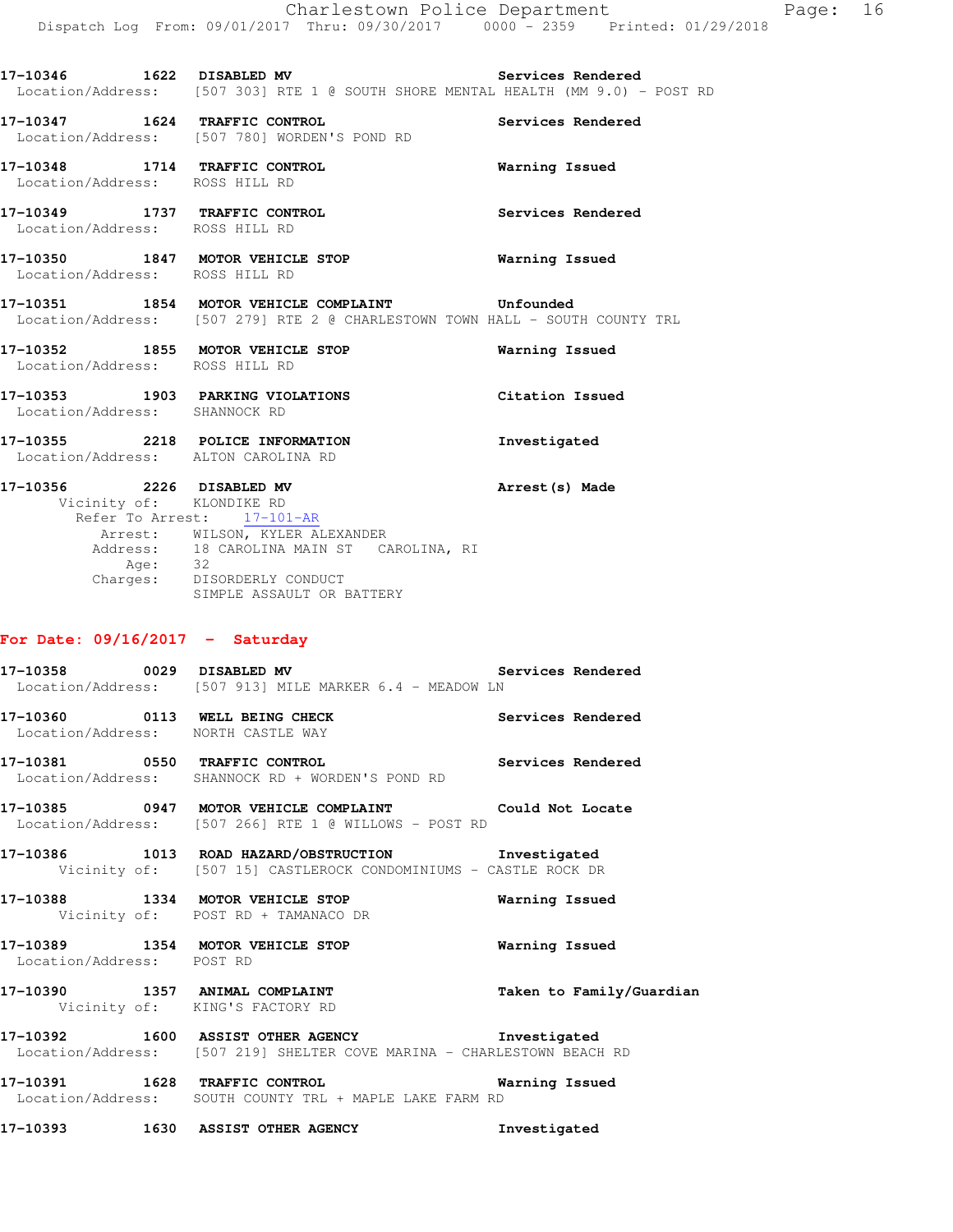**17-10346 1622 DISABLED MV Services Rendered**  Location/Address: [507 303] RTE 1 @ SOUTH SHORE MENTAL HEALTH (MM 9.0) - POST RD

**17-10347 1624 TRAFFIC CONTROL Services Rendered**  Location/Address: [507 780] WORDEN'S POND RD

**17-10348 1714 TRAFFIC CONTROL Warning Issued**  Location/Address: ROSS HILL RD

**17-10349 1737 TRAFFIC CONTROL Services Rendered**  Location/Address: ROSS HILL RD

**17-10350 1847 MOTOR VEHICLE STOP Warning Issued**  Location/Address: ROSS HILL RD

**17-10351 1854 MOTOR VEHICLE COMPLAINT Unfounded**  Location/Address: [507 279] RTE 2 @ CHARLESTOWN TOWN HALL - SOUTH COUNTY TRL

**17-10352 1855 MOTOR VEHICLE STOP Warning Issued**  Location/Address: ROSS HILL RD **17-10353 1903 PARKING VIOLATIONS Citation Issued**  Location/Address: SHANNOCK RD

**17-10355 2218 POLICE INFORMATION Investigated**  Location/Address: ALTON CAROLINA RD

**17-10356 2226 DISABLED MV Arrest(s) Made**  Vicinity of: KLONDIKE RD Refer To Arrest:  $\frac{17-101-AR}{2}$  Arrest: WILSON, KYLER ALEXANDER Address: 18 CAROLINA MAIN ST CAROLINA, RI Age: 32 Charges: DISORDERLY CONDUCT SIMPLE ASSAULT OR BATTERY

#### **For Date: 09/16/2017 - Saturday**

**17-10358 0029 DISABLED MV Services Rendered**  Location/Address: [507 913] MILE MARKER 6.4 - MEADOW LN **17-10360 0113 WELL BEING CHECK Services Rendered**  Location/Address: NORTH CASTLE WAY **17-10381 0550 TRAFFIC CONTROL Services Rendered**  Location/Address: SHANNOCK RD + WORDEN'S POND RD **17-10385 0947 MOTOR VEHICLE COMPLAINT Could Not Locate**  Location/Address: [507 266] RTE 1 @ WILLOWS - POST RD **17-10386 1013 ROAD HAZARD/OBSTRUCTION Investigated**  Vicinity of: [507 15] CASTLEROCK CONDOMINIUMS - CASTLE ROCK DR **17-10388 1334 MOTOR VEHICLE STOP Warning Issued**  Vicinity of: POST RD + TAMANACO DR **17-10389 1354 MOTOR VEHICLE STOP Warning Issued**  Location/Address: POST RD **17-10390 1357 ANIMAL COMPLAINT Taken to Family/Guardian**  Vicinity of: KING'S FACTORY RD **17-10392 1600 ASSIST OTHER AGENCY Investigated**  Location/Address: [507 219] SHELTER COVE MARINA - CHARLESTOWN BEACH RD **17-10391 1628 TRAFFIC CONTROL Warning Issued**  Location/Address: SOUTH COUNTY TRL + MAPLE LAKE FARM RD

**17-10393 1630 ASSIST OTHER AGENCY Investigated**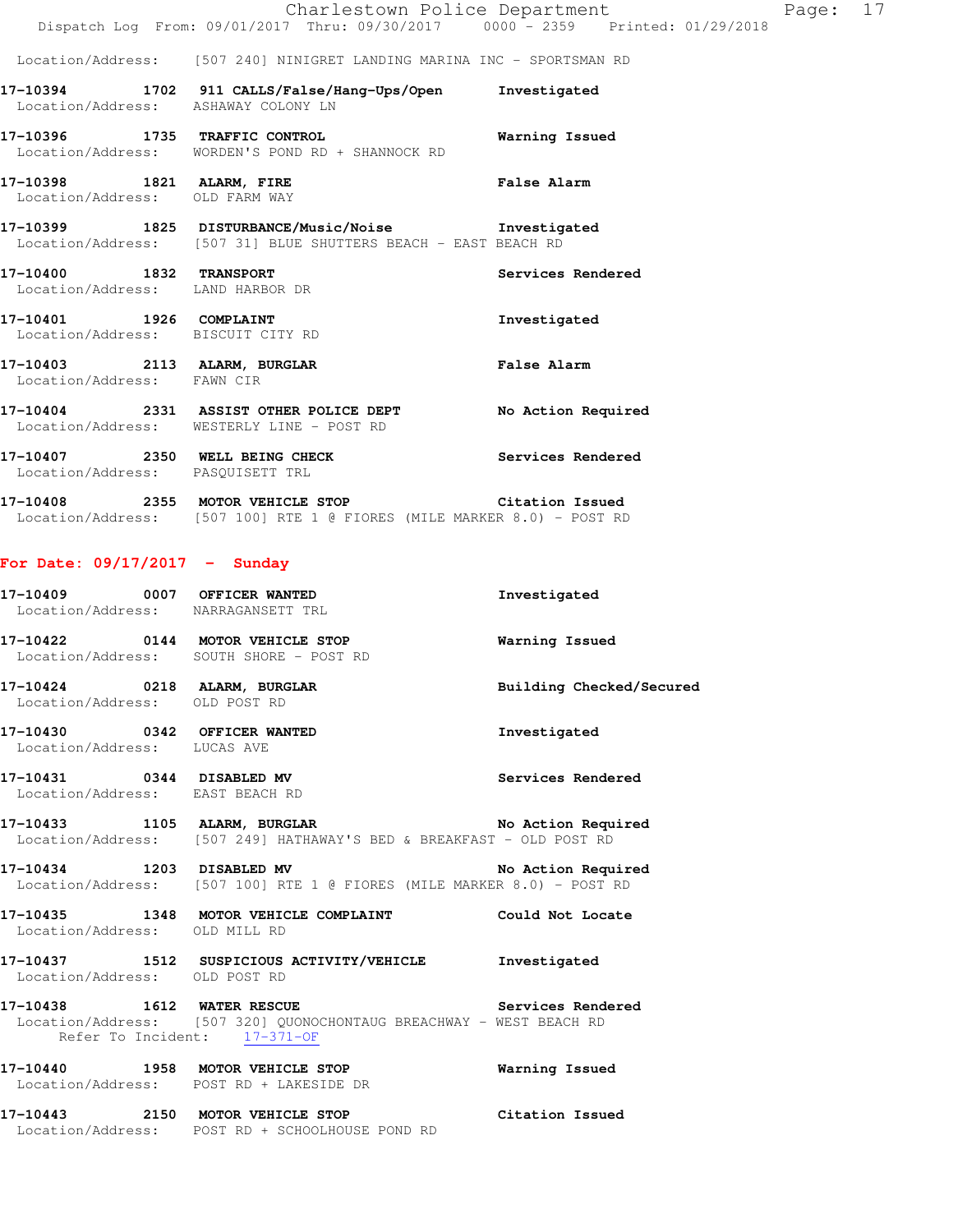### Location/Address: [507 240] NINIGRET LANDING MARINA INC - SPORTSMAN RD

| Location/Address:                                            | ASHAWAY COLONY LN                                                                                                    | Investigated       |
|--------------------------------------------------------------|----------------------------------------------------------------------------------------------------------------------|--------------------|
| 17-10396 1735 TRAFFIC CONTROL                                | Location/Address: WORDEN'S POND RD + SHANNOCK RD                                                                     | Warning Issued     |
| 17-10398 1821 ALARM, FIRE<br>Location/Address: OLD FARM WAY  |                                                                                                                      | <b>False Alarm</b> |
|                                                              | 17-10399 1825 DISTURBANCE/Music/Noise Showstigated<br>Location/Address: [507 31] BLUE SHUTTERS BEACH - EAST BEACH RD |                    |
| 17-10400 1832 TRANSPORT<br>Location/Address: LAND HARBOR DR  |                                                                                                                      | Services Rendered  |
| 17-10401 1926 COMPLAINT<br>Location/Address: BISCUIT CITY RD |                                                                                                                      | Investigated       |
| 17-10403 2113 ALARM, BURGLAR<br>Location/Address:            | FAWN CIR                                                                                                             | <b>False Alarm</b> |

**17-10404 2331 ASSIST OTHER POLICE DEPT No Action Required**  Location/Address: WESTERLY LINE - POST RD **17-10407 2350 WELL BEING CHECK Services Rendered**  Location/Address: PASQUISETT TRL

**17-10408 2355 MOTOR VEHICLE STOP Citation Issued**  Location/Address: [507 100] RTE 1 @ FIORES (MILE MARKER 8.0) - POST RD

### **For Date: 09/17/2017 - Sunday**

| 17-10409 0007 OFFICER WANTED<br>Location/Address: NARRAGANSETT TRL |                                                                        | Investigated      |
|--------------------------------------------------------------------|------------------------------------------------------------------------|-------------------|
|                                                                    |                                                                        |                   |
|                                                                    | 17-10422 0144 MOTOR VEHICLE STOP <b>Warning Issued</b>                 |                   |
|                                                                    | Location/Address: SOUTH SHORE - POST RD                                |                   |
|                                                                    | 17-10424 0218 ALARM, BURGLAR <b>BURGLAR</b> Building Checked/Secured   |                   |
| Location/Address: OLD POST RD                                      |                                                                        |                   |
|                                                                    | 17-10430 0342 OFFICER WANTED                                           | Investigated      |
| Location/Address: LUCAS AVE                                        |                                                                        |                   |
| 17-10431 0344 DISABLED MV                                          |                                                                        | Services Rendered |
| Location/Address: EAST BEACH RD                                    |                                                                        |                   |
|                                                                    | 17-10433 1105 ALARM, BURGLAR No Action Required                        |                   |
|                                                                    | Location/Address: [507 249] HATHAWAY'S BED & BREAKFAST - OLD POST RD   |                   |
|                                                                    | 17-10434 1203 DISABLED MV No Action Required                           |                   |
|                                                                    | Location/Address: [507 100] RTE 1 @ FIORES (MILE MARKER 8.0) - POST RD |                   |
|                                                                    | 17-10435 1348 MOTOR VEHICLE COMPLAINT Could Not Locate                 |                   |
| Location/Address: OLD MILL RD                                      |                                                                        |                   |
|                                                                    | 17-10437 1512 SUSPICIOUS ACTIVITY/VEHICLE Investigated                 |                   |
| Location/Address: OLD POST RD                                      |                                                                        |                   |
|                                                                    | 17-10438 1612 WATER RESCUE 2008 2010 Services Rendered                 |                   |
| Refer To Incident: 17-371-OF                                       | Location/Address: [507 320] QUONOCHONTAUG BREACHWAY - WEST BEACH RD    |                   |
|                                                                    |                                                                        |                   |
|                                                                    | 17-10440 1958 MOTOR VEHICLE STOP <b>Warning Issued</b>                 |                   |
|                                                                    | Location/Address: POST RD + LAKESIDE DR                                |                   |
|                                                                    | 17-10443 2150 MOTOR VEHICLE STOP Citation Issued                       |                   |
|                                                                    | Location/Address: POST RD + SCHOOLHOUSE POND RD                        |                   |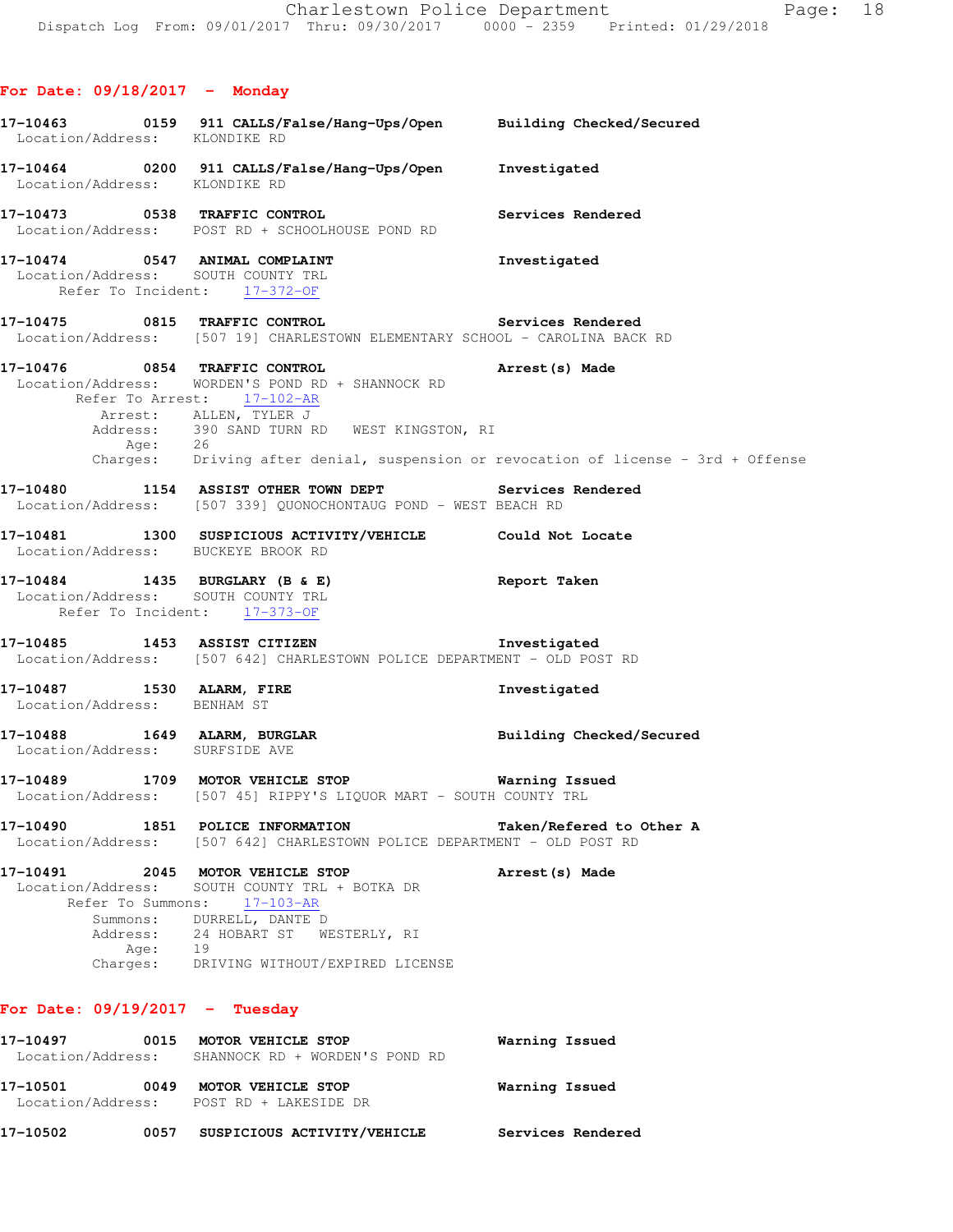|                                                                    | Services Rendered                                                                                                                                                                                                                                                                                                                                                                                                                                                                                                                                                                                                                                                                                                                                                                                                                                                                                                                                                                                                                                                                                                                                                                                                                                                                                                                                                                                                                                                                                                                                                                                                                                                                                                                                                                               |
|--------------------------------------------------------------------|-------------------------------------------------------------------------------------------------------------------------------------------------------------------------------------------------------------------------------------------------------------------------------------------------------------------------------------------------------------------------------------------------------------------------------------------------------------------------------------------------------------------------------------------------------------------------------------------------------------------------------------------------------------------------------------------------------------------------------------------------------------------------------------------------------------------------------------------------------------------------------------------------------------------------------------------------------------------------------------------------------------------------------------------------------------------------------------------------------------------------------------------------------------------------------------------------------------------------------------------------------------------------------------------------------------------------------------------------------------------------------------------------------------------------------------------------------------------------------------------------------------------------------------------------------------------------------------------------------------------------------------------------------------------------------------------------------------------------------------------------------------------------------------------------|
|                                                                    | Investigated                                                                                                                                                                                                                                                                                                                                                                                                                                                                                                                                                                                                                                                                                                                                                                                                                                                                                                                                                                                                                                                                                                                                                                                                                                                                                                                                                                                                                                                                                                                                                                                                                                                                                                                                                                                    |
|                                                                    |                                                                                                                                                                                                                                                                                                                                                                                                                                                                                                                                                                                                                                                                                                                                                                                                                                                                                                                                                                                                                                                                                                                                                                                                                                                                                                                                                                                                                                                                                                                                                                                                                                                                                                                                                                                                 |
|                                                                    | Arrest (s) Made                                                                                                                                                                                                                                                                                                                                                                                                                                                                                                                                                                                                                                                                                                                                                                                                                                                                                                                                                                                                                                                                                                                                                                                                                                                                                                                                                                                                                                                                                                                                                                                                                                                                                                                                                                                 |
|                                                                    |                                                                                                                                                                                                                                                                                                                                                                                                                                                                                                                                                                                                                                                                                                                                                                                                                                                                                                                                                                                                                                                                                                                                                                                                                                                                                                                                                                                                                                                                                                                                                                                                                                                                                                                                                                                                 |
|                                                                    |                                                                                                                                                                                                                                                                                                                                                                                                                                                                                                                                                                                                                                                                                                                                                                                                                                                                                                                                                                                                                                                                                                                                                                                                                                                                                                                                                                                                                                                                                                                                                                                                                                                                                                                                                                                                 |
|                                                                    | Report Taken                                                                                                                                                                                                                                                                                                                                                                                                                                                                                                                                                                                                                                                                                                                                                                                                                                                                                                                                                                                                                                                                                                                                                                                                                                                                                                                                                                                                                                                                                                                                                                                                                                                                                                                                                                                    |
|                                                                    |                                                                                                                                                                                                                                                                                                                                                                                                                                                                                                                                                                                                                                                                                                                                                                                                                                                                                                                                                                                                                                                                                                                                                                                                                                                                                                                                                                                                                                                                                                                                                                                                                                                                                                                                                                                                 |
|                                                                    | Investigated                                                                                                                                                                                                                                                                                                                                                                                                                                                                                                                                                                                                                                                                                                                                                                                                                                                                                                                                                                                                                                                                                                                                                                                                                                                                                                                                                                                                                                                                                                                                                                                                                                                                                                                                                                                    |
|                                                                    | Building Checked/Secured                                                                                                                                                                                                                                                                                                                                                                                                                                                                                                                                                                                                                                                                                                                                                                                                                                                                                                                                                                                                                                                                                                                                                                                                                                                                                                                                                                                                                                                                                                                                                                                                                                                                                                                                                                        |
|                                                                    |                                                                                                                                                                                                                                                                                                                                                                                                                                                                                                                                                                                                                                                                                                                                                                                                                                                                                                                                                                                                                                                                                                                                                                                                                                                                                                                                                                                                                                                                                                                                                                                                                                                                                                                                                                                                 |
|                                                                    | Taken/Refered to Other A                                                                                                                                                                                                                                                                                                                                                                                                                                                                                                                                                                                                                                                                                                                                                                                                                                                                                                                                                                                                                                                                                                                                                                                                                                                                                                                                                                                                                                                                                                                                                                                                                                                                                                                                                                        |
| SOUTH COUNTY TRL + BOTKA DR<br>$17 - 103 - AR$<br>DURRELL, DANTE D | Arrest (s) Made                                                                                                                                                                                                                                                                                                                                                                                                                                                                                                                                                                                                                                                                                                                                                                                                                                                                                                                                                                                                                                                                                                                                                                                                                                                                                                                                                                                                                                                                                                                                                                                                                                                                                                                                                                                 |
| Location/Address:<br>Location/Address:<br>Summons:<br>Address:     | 17-10463 0159 911 CALLS/False/Hang-Ups/Open Building Checked/Secured Location/Address: KLONDIKE RD<br>17-10464 0200 911 CALLS/False/Hang-Ups/Open Investigated<br>Location/Address: KLONDIKE RD<br>17-10473 0538 TRAFFIC CONTROL<br>Location/Address: POST RD + SCHOOLHOUSE POND RD<br>17-10474 0547 ANIMAL COMPLAINT<br>Location/Address: SOUTH COUNTY TRL<br>Refer To Incident: $\frac{17-372-OF}{2}$<br>17-10475 0815 TRAFFIC CONTROL Services Rendered<br>Location/Address: [507 19] CHARLESTOWN ELEMENTARY SCHOOL - CAROLINA BACK RD<br>17-10476 0854 TRAFFIC CONTROL<br>Location/Address: WORDEN'S POND RD + SHANNOCK RD<br>Refer To Arrest: 17-102-AR<br>Arrest: ALLEN, TYLER J<br>Address: 390 SAND TURN RD WEST KINGSTON, RI<br>Age: 26<br>Charges: Driving after denial, suspension or revocation of license - 3rd + Offense<br>17-10480 1154 ASSIST OTHER TOWN DEPT Services Rendered<br>Location/Address: [507 339] QUONOCHONTAUG POND - WEST BEACH RD<br>17-10481 1300 SUSPICIOUS ACTIVITY/VEHICLE Could Not Locate<br>Location/Address: BUCKEYE BROOK RD<br>17-10484 1435 BURGLARY (B & E)<br>Location/Address: SOUTH COUNTY TRL<br>Refer To Incident: 17-373-OF<br>17-10485 1453 ASSIST CITIZEN 17-10485 1nvestigated<br>Location/Address: [507 642] CHARLESTOWN POLICE DEPARTMENT - OLD POST RD<br>17-10487 1530 ALARM, FIRE<br>Location/Address: BENHAM ST<br>17-10488 1649 ALARM, BURGLAR<br>Location/Address: SURFSIDE AVE<br>17-10489 1709 MOTOR VEHICLE STOP 6 Warning Issued<br>Location/Address: [507 45] RIPPY'S LIQUOR MART - SOUTH COUNTY TRL<br>1851 POLICE INFORMATION<br>[507 642] CHARLESTOWN POLICE DEPARTMENT - OLD POST RD<br>2045 MOTOR VEHICLE STOP<br>Refer To Summons:<br>24 HOBART ST WESTERLY, RI<br>Age: 19<br>Charges: DRIVING WITHOUT/EXPIRED LICENSE |

### **For Date: 09/19/2017 - Tuesday**

| 17-10497<br>Location/Address: | 0015 | MOTOR VEHICLE STOP<br>SHANNOCK RD + WORDEN'S POND RD          | Warning Issued    |
|-------------------------------|------|---------------------------------------------------------------|-------------------|
| 17–10501                      | 0049 | MOTOR VEHICLE STOP<br>Location/Address: POST RD + LAKESIDE DR | Warning Issued    |
| 17-10502                      | 0057 | SUSPICIOUS ACTIVITY/VEHICLE                                   | Services Rendered |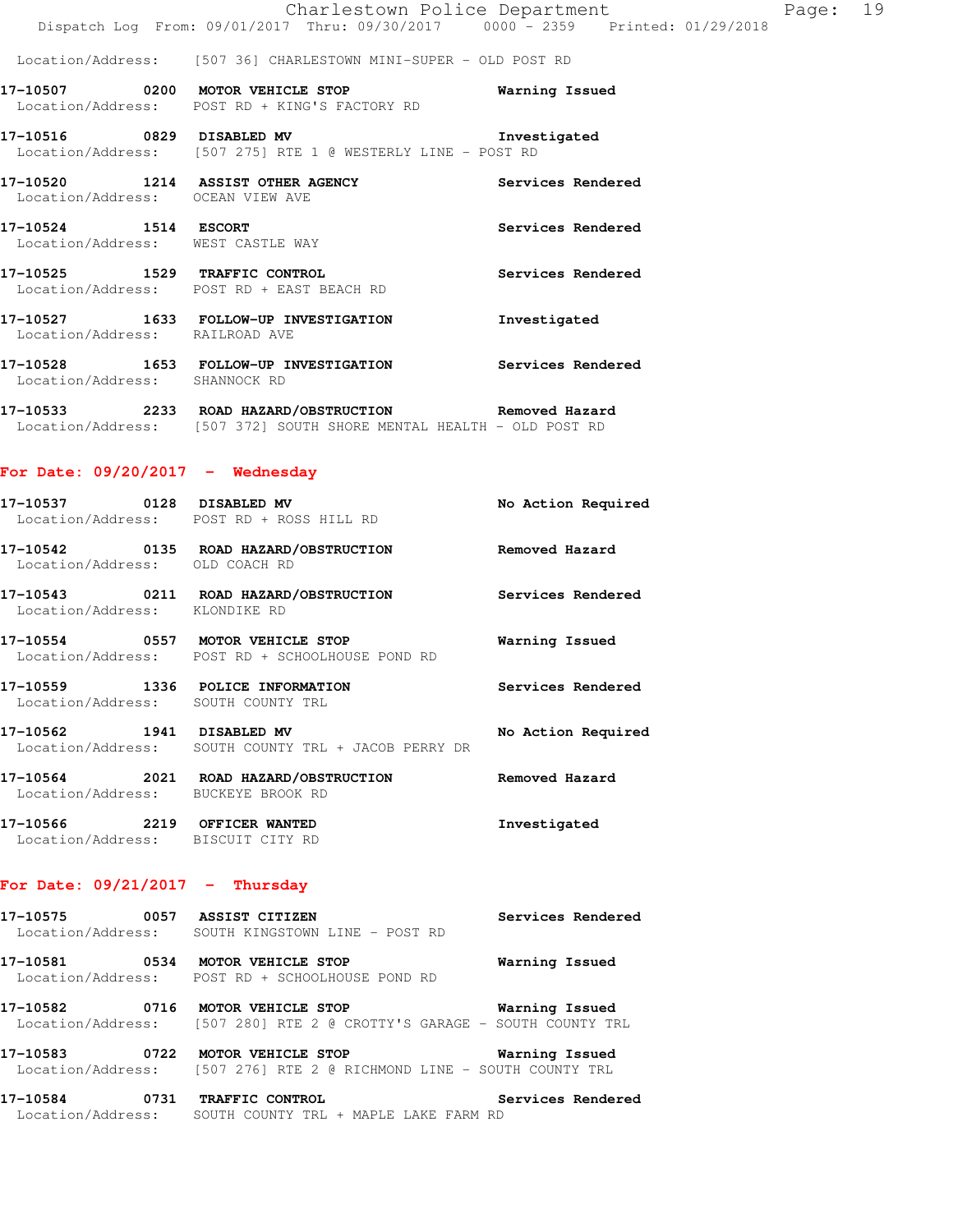|  |                                                                                | Charlestown Police Department |  |  | Page: 19 |  |
|--|--------------------------------------------------------------------------------|-------------------------------|--|--|----------|--|
|  | Dispatch Log From: 09/01/2017 Thru: 09/30/2017 0000 - 2359 Printed: 01/29/2018 |                               |  |  |          |  |

Location/Address: [507 36] CHARLESTOWN MINI-SUPER - OLD POST RD

**17-10507 0200 MOTOR VEHICLE STOP Warning Issued**  Location/Address: POST RD + KING'S FACTORY RD

**17-10516 0829 DISABLED MV Investigated**  Location/Address: [507 275] RTE 1 @ WESTERLY LINE - POST RD

**17-10520 1214 ASSIST OTHER AGENCY Services Rendered**  Location/Address: OCEAN VIEW AVE **17-10524 1514 ESCORT Services Rendered**  Location/Address: WEST CASTLE WAY **17-10525 1529 TRAFFIC CONTROL Services Rendered**  Location/Address: POST RD + EAST BEACH RD **17-10527 1633 FOLLOW-UP INVESTIGATION Investigated**  Location/Address: RAILROAD AVE

**17-10528 1653 FOLLOW-UP INVESTIGATION Services Rendered**  Location/Address: SHANNOCK RD

**17-10533 2233 ROAD HAZARD/OBSTRUCTION Removed Hazard**  Location/Address: [507 372] SOUTH SHORE MENTAL HEALTH - OLD POST RD

#### **For Date: 09/20/2017 - Wednesday**

| 17-10537 0128 DISABLED MV                             | Location/Address: POST RD + ROSS HILL RD                              | No Action Required |
|-------------------------------------------------------|-----------------------------------------------------------------------|--------------------|
| Location/Address:                                     | 17-10542 0135 ROAD HAZARD/OBSTRUCTION<br>OLD COACH RD                 | Removed Hazard     |
| 17–10543<br>Location/Address:                         | 0211 ROAD HAZARD/OBSTRUCTION<br>KLONDIKE RD                           | Services Rendered  |
| 17-10554<br>0557                                      | MOTOR VEHICLE STOP<br>Location/Address: POST RD + SCHOOLHOUSE POND RD | Warning Issued     |
| 17-10559 1336 POLICE INFORMATION<br>Location/Address: | SOUTH COUNTY TRL                                                      | Services Rendered  |
| 17-10562 1941<br>Location/Address:                    | DISABLED MV<br>SOUTH COUNTY TRL + JACOB PERRY DR                      | No Action Required |
| 17-10564<br>2021                                      | ROAD HAZARD/OBSTRUCTION                                               | Removed Hazard     |

 Location/Address: BUCKEYE BROOK RD **17-10566 2219 OFFICER WANTED Investigated**  Location/Address: BISCUIT CITY RD

### **For Date: 09/21/2017 - Thursday**

| 17-10575          |  | 0057 ASSIST CITIZEN            |  | Services Rendered |  |
|-------------------|--|--------------------------------|--|-------------------|--|
| Location/Address: |  | SOUTH KINGSTOWN LINE - POST RD |  |                   |  |

**17-10581 0534 MOTOR VEHICLE STOP Warning Issued**  Location/Address: POST RD + SCHOOLHOUSE POND RD

**17-10582 0716 MOTOR VEHICLE STOP Warning Issued**  Location/Address: [507 280] RTE 2 @ CROTTY'S GARAGE - SOUTH COUNTY TRL

**17-10583 0722 MOTOR VEHICLE STOP Warning Issued**  Location/Address: [507 276] RTE 2 @ RICHMOND LINE - SOUTH COUNTY TRL

**17-10584 0731 TRAFFIC CONTROL Services Rendered**  Location/Address: SOUTH COUNTY TRL + MAPLE LAKE FARM RD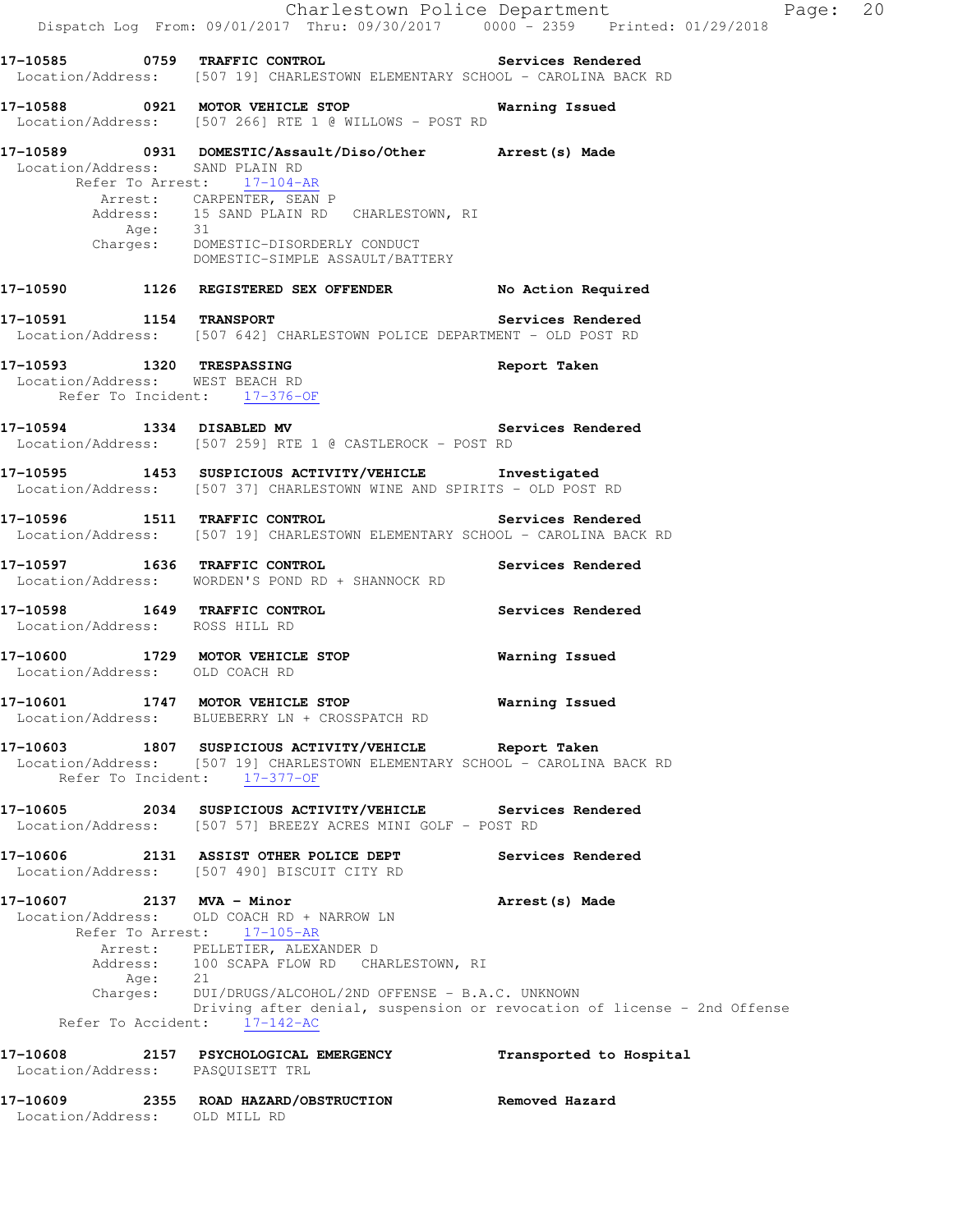|                                                 | Dispatch Log From: 09/01/2017 Thru: 09/30/2017   0000 - 2359   Printed: 01/29/2018                                                                                                                                                                                         |                                                                                            |
|-------------------------------------------------|----------------------------------------------------------------------------------------------------------------------------------------------------------------------------------------------------------------------------------------------------------------------------|--------------------------------------------------------------------------------------------|
|                                                 | Location/Address: [507 19] CHARLESTOWN ELEMENTARY SCHOOL - CAROLINA BACK RD                                                                                                                                                                                                |                                                                                            |
|                                                 | 17-10588 0921 MOTOR VEHICLE STOP<br>Location/Address: [507 266] RTE 1 @ WILLOWS - POST RD                                                                                                                                                                                  | Warning Issued                                                                             |
| Location/Address: SAND PLAIN RD                 | 17-10589 		 0931 DOMESTIC/Assault/Diso/Other 		 Arrest(s) Made<br>Refer To Arrest: 17-104-AR<br>Arrest: CARPENTER, SEAN P<br>Address: 15 SAND PLAIN RD CHARLESTOWN, RI<br>Address. -<br>Age: 31<br>Charges: DOMESTIC-DISORDERLY CONDUCT<br>DOMESTIC-SIMPLE ASSAULT/BATTERY |                                                                                            |
|                                                 | 17-10590 1126 REGISTERED SEX OFFENDER No Action Required                                                                                                                                                                                                                   |                                                                                            |
|                                                 | 17-10591 1154 TRANSPORT<br>Location/Address: [507 642] CHARLESTOWN POLICE DEPARTMENT - OLD POST RD                                                                                                                                                                         | Services Rendered                                                                          |
| 17-10593 1320 TRESPASSING                       | Location/Address: WEST BEACH RD<br>Refer To Incident: 17-376-OF                                                                                                                                                                                                            | Report Taken                                                                               |
|                                                 | 17-10594 1334 DISABLED MV 30 Services Rendered<br>Location/Address: [507 259] RTE 1 @ CASTLEROCK - POST RD                                                                                                                                                                 |                                                                                            |
|                                                 | 17-10595 1453 SUSPICIOUS ACTIVITY/VEHICLE 1nvestigated<br>Location/Address: [507 37] CHARLESTOWN WINE AND SPIRITS - OLD POST RD                                                                                                                                            |                                                                                            |
|                                                 | 17-10596 1511 TRAFFIC CONTROL<br>Location/Address: [507 19] CHARLESTOWN ELEMENTARY SCHOOL - CAROLINA BACK RD                                                                                                                                                               | Services Rendered                                                                          |
|                                                 | 17-10597 1636 TRAFFIC CONTROL<br>Location/Address: WORDEN'S POND RD + SHANNOCK RD                                                                                                                                                                                          | Services Rendered                                                                          |
| Location/Address: ROSS HILL RD                  | 17-10598 1649 TRAFFIC CONTROL                                                                                                                                                                                                                                              | Services Rendered                                                                          |
| Location/Address: OLD COACH RD                  | 17-10600 1729 MOTOR VEHICLE STOP <b>Warning Issued</b>                                                                                                                                                                                                                     |                                                                                            |
|                                                 | 17-10601 1747 MOTOR VEHICLE STOP<br>Location/Address: BLUEBERRY LN + CROSSPATCH RD                                                                                                                                                                                         | <b>Warning Issued</b>                                                                      |
|                                                 | 17-10603 1807 SUSPICIOUS ACTIVITY/VEHICLE Report Taken<br>Location/Address: [507 19] CHARLESTOWN ELEMENTARY SCHOOL - CAROLINA BACK RD<br>Refer To Incident: 17-377-OF                                                                                                      |                                                                                            |
|                                                 | 17-10605 2034 SUSPICIOUS ACTIVITY/VEHICLE Services Rendered<br>Location/Address: [507 57] BREEZY ACRES MINI GOLF - POST RD                                                                                                                                                 |                                                                                            |
|                                                 | 17-10606 2131 ASSIST OTHER POLICE DEPT<br>Location/Address: [507 490] BISCUIT CITY RD                                                                                                                                                                                      | Services Rendered                                                                          |
| 17-10607 2137 MVA - Minor<br>Refer To Accident: | Location/Address: OLD COACH RD + NARROW LN<br>Refer To Arrest: 17-105-AR<br>Arrest: PELLETIER, ALEXANDER D<br>Address: 100 SCAPA FLOW RD CHARLESTOWN, RI<br>Age: 21<br>Charges: DUI/DRUGS/ALCOHOL/2ND OFFENSE - B.A.C. UNKNOWN<br>$17 - 142 - AC$                          | Arrest (s) Made<br>Driving after denial, suspension or revocation of license - 2nd Offense |
| 17-10608<br>Location/Address: PASQUISETT TRL    | 2157 PSYCHOLOGICAL EMERGENCY                                                                                                                                                                                                                                               | Transported to Hospital                                                                    |
| Location/Address: OLD MILL RD                   | 17-10609 2355 ROAD HAZARD/OBSTRUCTION                                                                                                                                                                                                                                      | Removed Hazard                                                                             |

Charlestown Police Department Page: 20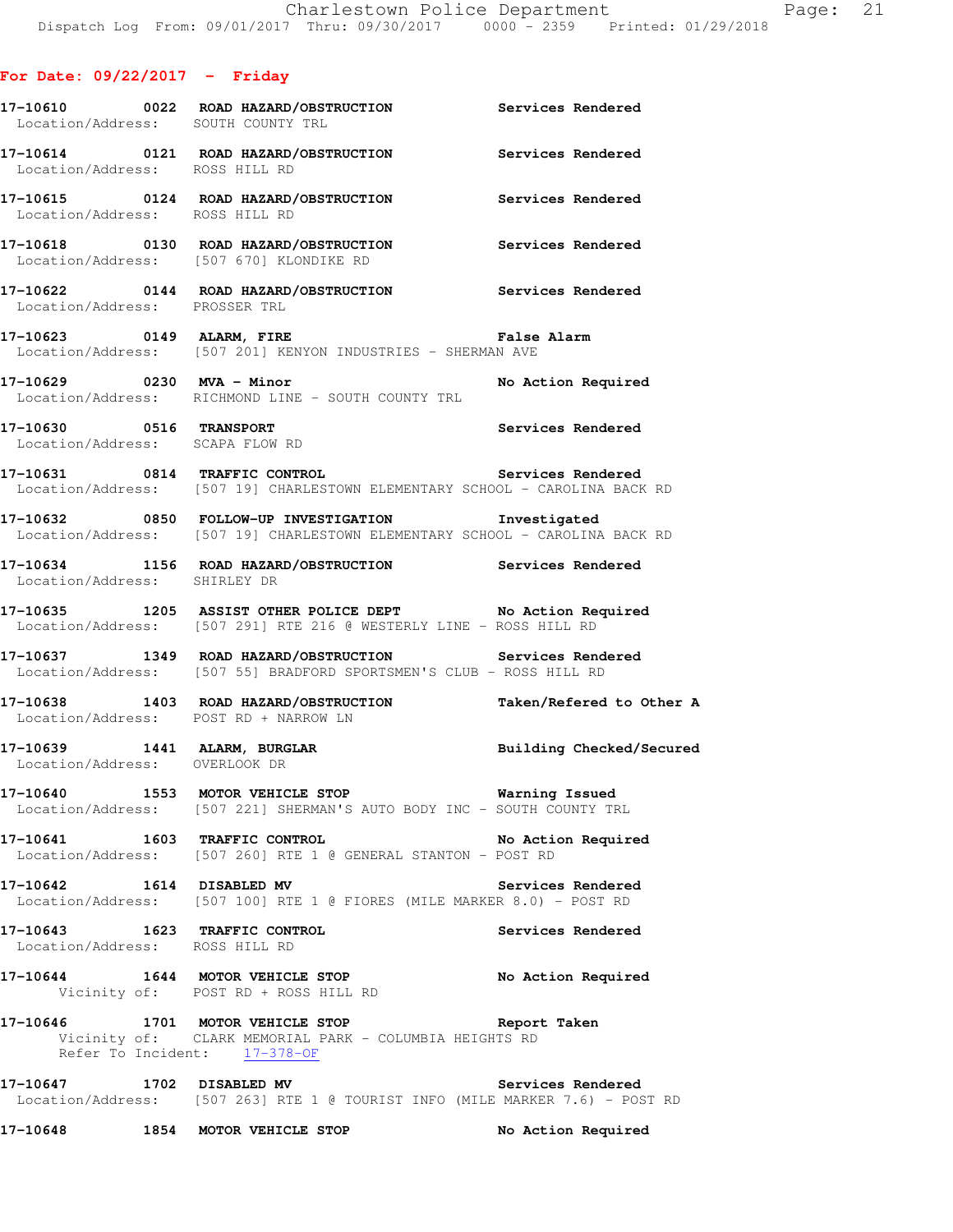| Location/Address: SOUTH COUNTY TRL                              | 17-10610 0022 ROAD HAZARD/OBSTRUCTION Services Rendered                                                                                   |                    |
|-----------------------------------------------------------------|-------------------------------------------------------------------------------------------------------------------------------------------|--------------------|
|                                                                 | 17-10614   0121   ROAD HAZARD/OBSTRUCTION   Services Rendered Location/Address:   ROSS HILL RD                                            |                    |
| Location/Address: ROSS HILL RD                                  | 17-10615 0124 ROAD HAZARD/OBSTRUCTION Services Rendered                                                                                   |                    |
|                                                                 | 17-10618   0130   ROAD HAZARD/OBSTRUCTION   Services Rendered Location/Address: [507 670] KLONDIKE RD                                     |                    |
| Location/Address: PROSSER TRL                                   | 17-10622 0144 ROAD HAZARD/OBSTRUCTION Services Rendered                                                                                   |                    |
|                                                                 | 17-10623 0149 ALARM, FIRE <b>1998 120 False Alarm</b><br>Location/Address: [507 201] KENYON INDUSTRIES - SHERMAN AVE                      |                    |
| 17-10629 0230 MVA - Minor                                       | Location/Address: RICHMOND LINE - SOUTH COUNTY TRL                                                                                        | No Action Required |
|                                                                 | 17-10630 0516 TRANSPORT SERVICES Rendered Location/Address: SCAPA FLOW RD                                                                 |                    |
|                                                                 | Location/Address: [507 19] CHARLESTOWN ELEMENTARY SCHOOL - CAROLINA BACK RD                                                               |                    |
|                                                                 | 17-10632 0850 FOLLOW-UP INVESTIGATION 1nvestigated<br>Location/Address: [507 19] CHARLESTOWN ELEMENTARY SCHOOL - CAROLINA BACK RD         |                    |
| Location/Address: SHIRLEY DR                                    | 17-10634 1156 ROAD HAZARD/OBSTRUCTION Services Rendered                                                                                   |                    |
|                                                                 | 17-10635 1205 ASSIST OTHER POLICE DEPT No Action Required<br>Location/Address: [507 291] RTE 216 @ WESTERLY LINE - ROSS HILL RD           |                    |
|                                                                 | 17-10637 1349 ROAD HAZARD/OBSTRUCTION Services Rendered<br>Location/Address: [507 55] BRADFORD SPORTSMEN'S CLUB - ROSS HILL RD            |                    |
|                                                                 | 17-10638 1403 ROAD HAZARD/OBSTRUCTION Taken/Refered to Other A<br>Location/Address: POST RD + NARROW LN                                   |                    |
| Location/Address: OVERLOOK DR                                   | 17-10639 1441 ALARM, BURGLAR BURGLAR Building Checked/Secured                                                                             |                    |
|                                                                 | 17-10640 1553 MOTOR VEHICLE STOP <b>17-10640</b> Varning Issued<br>Location/Address: [507 221] SHERMAN'S AUTO BODY INC - SOUTH COUNTY TRL |                    |
| 17-10641 1603 TRAFFIC CONTROL                                   | Location/Address: [507 260] RTE 1 @ GENERAL STANTON - POST RD                                                                             | No Action Required |
| 17-10642   1614   DISABLED MV                                   | Location/Address: [507 100] RTE 1 @ FIORES (MILE MARKER 8.0) - POST RD                                                                    | Services Rendered  |
| 17-10643 1623 TRAFFIC CONTROL<br>Location/Address: ROSS HILL RD |                                                                                                                                           | Services Rendered  |
|                                                                 | 17-10644 1644 MOTOR VEHICLE STOP No Action Required<br>Vicinity of: POST RD + ROSS HILL RD                                                |                    |
|                                                                 | 17-10646 1701 MOTOR VEHICLE STOP Seport Taken<br>Vicinity of: CLARK MEMORIAL PARK - COLUMBIA HEIGHTS RD<br>Refer To Incident: 17-378-OF   |                    |
|                                                                 | 17-10647 1702 DISABLED MV Services Rendered<br>Location/Address: [507 263] RTE 1 @ TOURIST INFO (MILE MARKER 7.6) - POST RD               |                    |
| 17-10648                                                        | 1854 MOTOR VEHICLE STOP                                                                                                                   | No Action Required |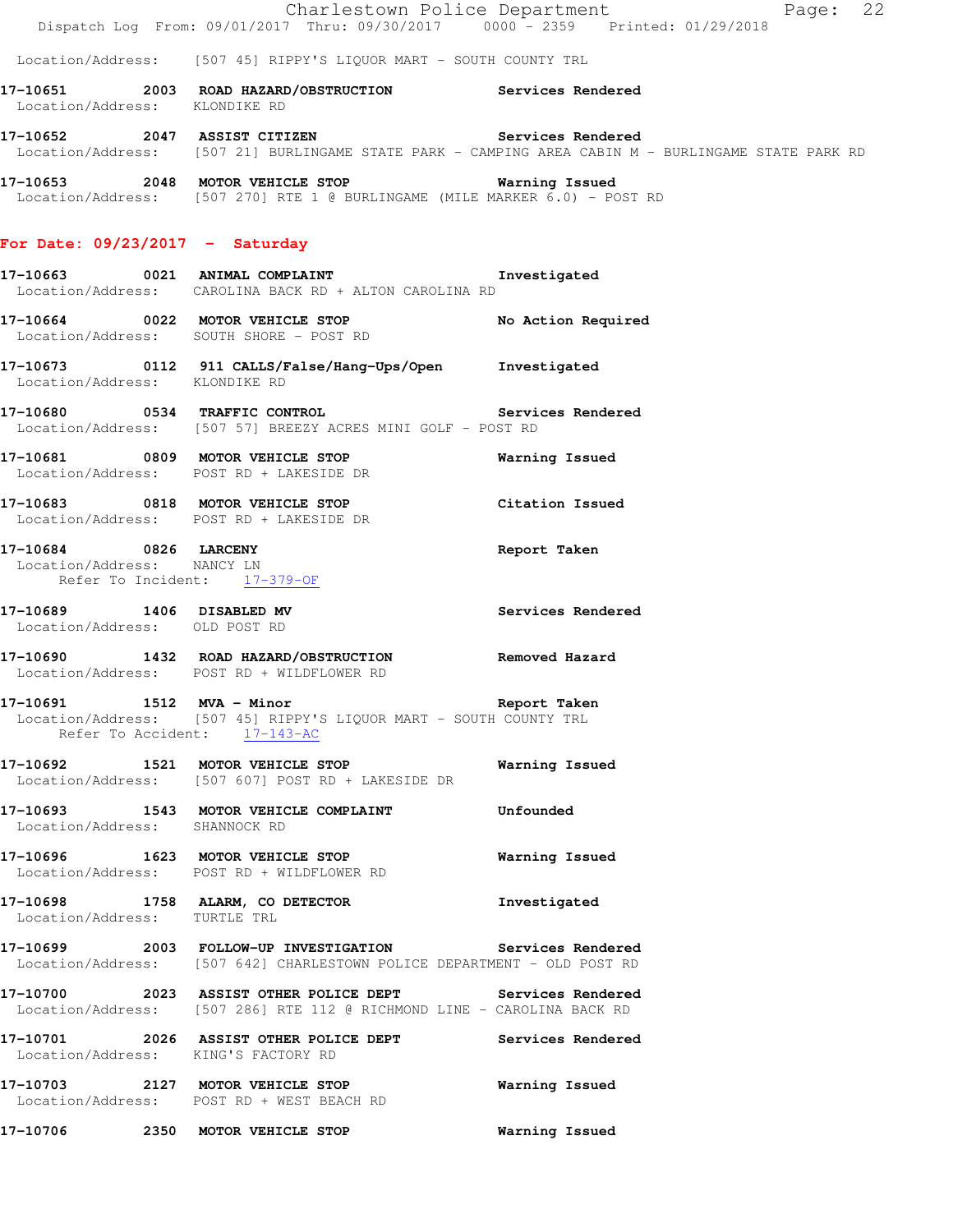Location/Address: [507 45] RIPPY'S LIQUOR MART - SOUTH COUNTY TRL

**17-10651 2003 ROAD HAZARD/OBSTRUCTION Services Rendered**  Location/Address: KLONDIKE RD

**17-10652 2047 ASSIST CITIZEN Services Rendered**  Location/Address: [507 21] BURLINGAME STATE PARK - CAMPING AREA CABIN M - BURLINGAME STATE PARK RD

**17-10653 2048 MOTOR VEHICLE STOP Warning Issued**  Location/Address: [507 270] RTE 1 @ BURLINGAME (MILE MARKER 6.0) - POST RD

### **For Date: 09/23/2017 - Saturday**

**17-10663 0021 ANIMAL COMPLAINT Investigated**  Location/Address: CAROLINA BACK RD + ALTON CAROLINA RD

**17-10664 0022 MOTOR VEHICLE STOP No Action Required**  Location/Address: SOUTH SHORE - POST RD

**17-10673 0112 911 CALLS/False/Hang-Ups/Open Investigated**  Location/Address: KLONDIKE RD

**17-10680 0534 TRAFFIC CONTROL Services Rendered**  Location/Address: [507 57] BREEZY ACRES MINI GOLF - POST RD

**17-10681 0809 MOTOR VEHICLE STOP Warning Issued**  Location/Address: POST RD + LAKESIDE DR

**17-10683 0818 MOTOR VEHICLE STOP Citation Issued**  Location/Address: POST RD + LAKESIDE DR

**17-10684 0826 LARCENY Report Taken**  Location/Address: NANCY LN Refer To Incident: 17-379-OF

**17-10689 1406 DISABLED MV Services Rendered**  Location/Address: OLD POST RD

**17-10690 1432 ROAD HAZARD/OBSTRUCTION Removed Hazard**  Location/Address: POST RD + WILDFLOWER RD

**17-10691 1512 MVA - Minor Report Taken**  Location/Address: [507 45] RIPPY'S LIQUOR MART - SOUTH COUNTY TRL Refer To Accident: 17-143-AC

**17-10692 1521 MOTOR VEHICLE STOP Warning Issued**  Location/Address: [507 607] POST RD + LAKESIDE DR

**17-10693 1543 MOTOR VEHICLE COMPLAINT Unfounded**  Location/Address: SHANNOCK RD

**17-10696 1623 MOTOR VEHICLE STOP Warning Issued**  Location/Address: POST RD + WILDFLOWER RD

**17-10698 1758 ALARM, CO DETECTOR Investigated**  Location/Address: TURTLE TRL

**17-10699 2003 FOLLOW-UP INVESTIGATION Services Rendered**  Location/Address: [507 642] CHARLESTOWN POLICE DEPARTMENT - OLD POST RD

**17-10700 2023 ASSIST OTHER POLICE DEPT Services Rendered**  Location/Address: [507 286] RTE 112 @ RICHMOND LINE - CAROLINA BACK RD

**17-10701 2026 ASSIST OTHER POLICE DEPT Services Rendered**  Location/Address: KING'S FACTORY RD

**17-10703 2127 MOTOR VEHICLE STOP Warning Issued**  Location/Address: POST RD + WEST BEACH RD

**17-10706 2350 MOTOR VEHICLE STOP Warning Issued**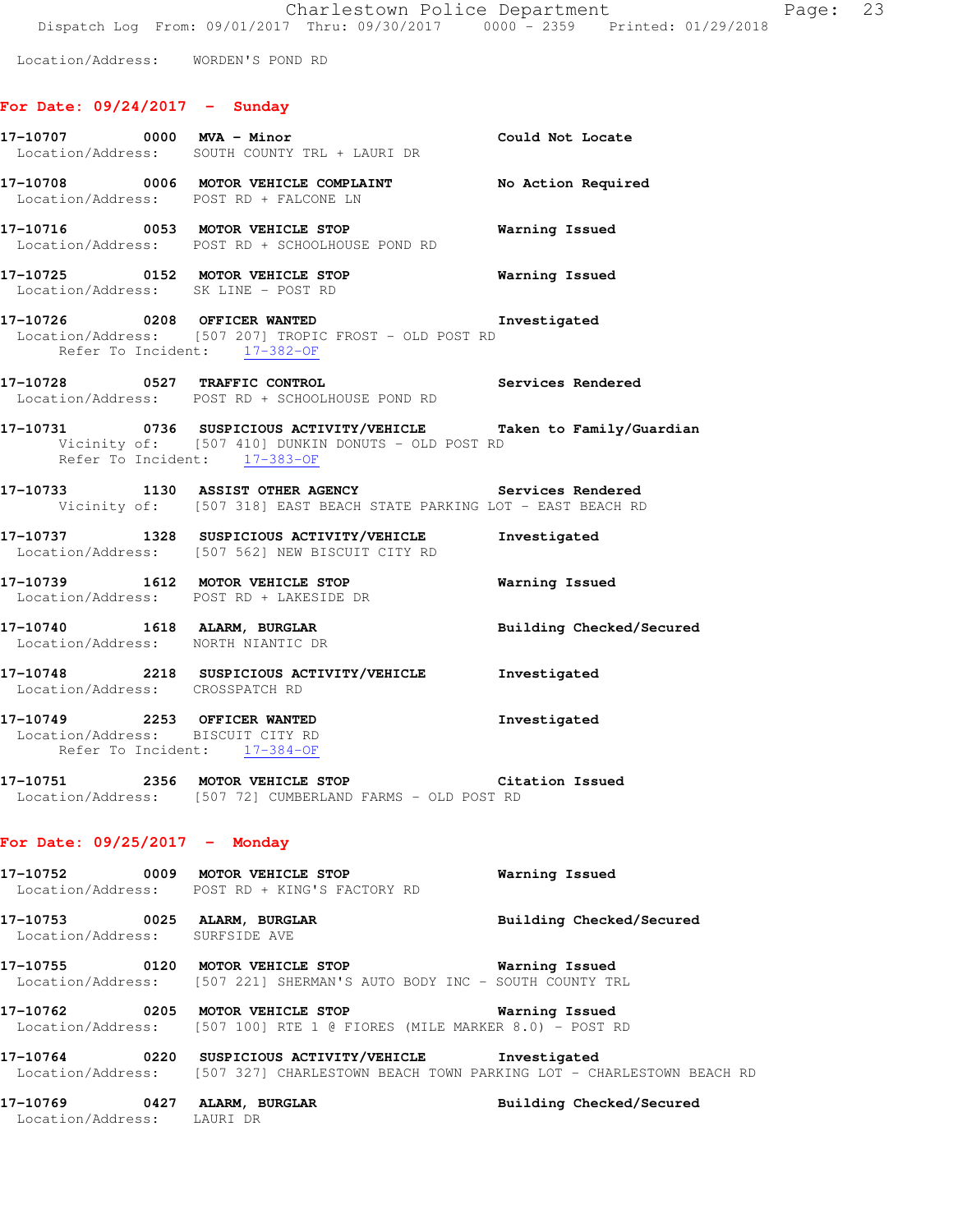Location/Address: WORDEN'S POND RD

## **For Date: 09/24/2017 - Sunday**

| 17-10707 0000 MVA - Minor       | Location/Address: SOUTH COUNTY TRL + LAURI DR                                                                                                            | Could Not Locate         |
|---------------------------------|----------------------------------------------------------------------------------------------------------------------------------------------------------|--------------------------|
|                                 | 17-10708 0006 MOTOR VEHICLE COMPLAINT No Action Required<br>Location/Address: POST RD + FALCONE LN                                                       |                          |
|                                 | 17-10716 0053 MOTOR VEHICLE STOP<br>Location/Address: POST RD + SCHOOLHOUSE POND RD                                                                      | <b>Warning Issued</b>    |
|                                 | 17-10725 0152 MOTOR VEHICLE STOP 6 Warning Issued<br>Location/Address: SK LINE - POST RD                                                                 |                          |
|                                 | 17-10726 0208 OFFICER WANTED 1nvestigated<br>Location/Address: [507 207] TROPIC FROST - OLD POST RD<br>Refer To Incident: 17-382-OF                      |                          |
|                                 | 17-10728 0527 TRAFFIC CONTROL Services Rendered Location/Address: POST RD + SCHOOLHOUSE POND RD                                                          |                          |
|                                 | 17-10731 0736 SUSPICIOUS ACTIVITY/VEHICLE Taken to Family/Guardian<br>Vicinity of: [507 410] DUNKIN DONUTS - OLD POST RD<br>Refer To Incident: 17-383-OF |                          |
|                                 | 17-10733 1130 ASSIST OTHER AGENCY Services Rendered<br>Vicinity of: [507 318] EAST BEACH STATE PARKING LOT - EAST BEACH RD                               |                          |
|                                 | 17-10737 1328 SUSPICIOUS ACTIVITY/VEHICLE<br>Location/Address: [507 562] NEW BISCUIT CITY RD                                                             | Investigated             |
|                                 | 17-10739 1612 MOTOR VEHICLE STOP 6 Warning Issued<br>Location/Address: POST RD + LAKESIDE DR                                                             |                          |
|                                 | 17-10740 1618 ALARM, BURGLAR<br>Location/Address: NORTH NIANTIC DR                                                                                       | Building Checked/Secured |
|                                 | 17-10748 2218 SUSPICIOUS ACTIVITY/VEHICLE Investigated<br>Location/Address: CROSSPATCH RD                                                                |                          |
|                                 | 17-10749 2253 OFFICER WANTED<br>Location/Address: BISCUIT CITY RD<br>Refer To Incident: 17-384-OF                                                        | Investigated             |
|                                 | 17-10751 2356 MOTOR VEHICLE STOP Citation Issued<br>Location/Address: [507 72] CUMBERLAND FARMS - OLD POST RD                                            |                          |
| For Date: $09/25/2017$ - Monday |                                                                                                                                                          |                          |
|                                 | 17-10752 0009 MOTOR VEHICLE STOP<br>Location/Address: POST RD + KING'S FACTORY RD                                                                        | Warning Issued           |
| Location/Address: SURFSIDE AVE  | 17-10753 0025 ALARM, BURGLAR                                                                                                                             | Building Checked/Secured |
|                                 | 17-10755 0120 MOTOR VEHICLE STOP <b>Warning Issued</b><br>Location/Address: [507 221] SHERMAN'S AUTO BODY INC - SOUTH COUNTY TRL                         |                          |
|                                 | 17-10762 0205 MOTOR VEHICLE STOP<br>Location/Address: [507 100] RTE 1 @ FIORES (MILE MARKER 8.0) - POST RD                                               | Warning Issued           |
|                                 | 17-10764 0220 SUSPICIOUS ACTIVITY/VEHICLE Investigated<br>Location/Address: [507 327] CHARLESTOWN BEACH TOWN PARKING LOT - CHARLESTOWN BEACH RD          |                          |
| Location/Address: LAURI DR      | 17-10769 0427 ALARM, BURGLAR                                                                                                                             | Building Checked/Secured |
|                                 |                                                                                                                                                          |                          |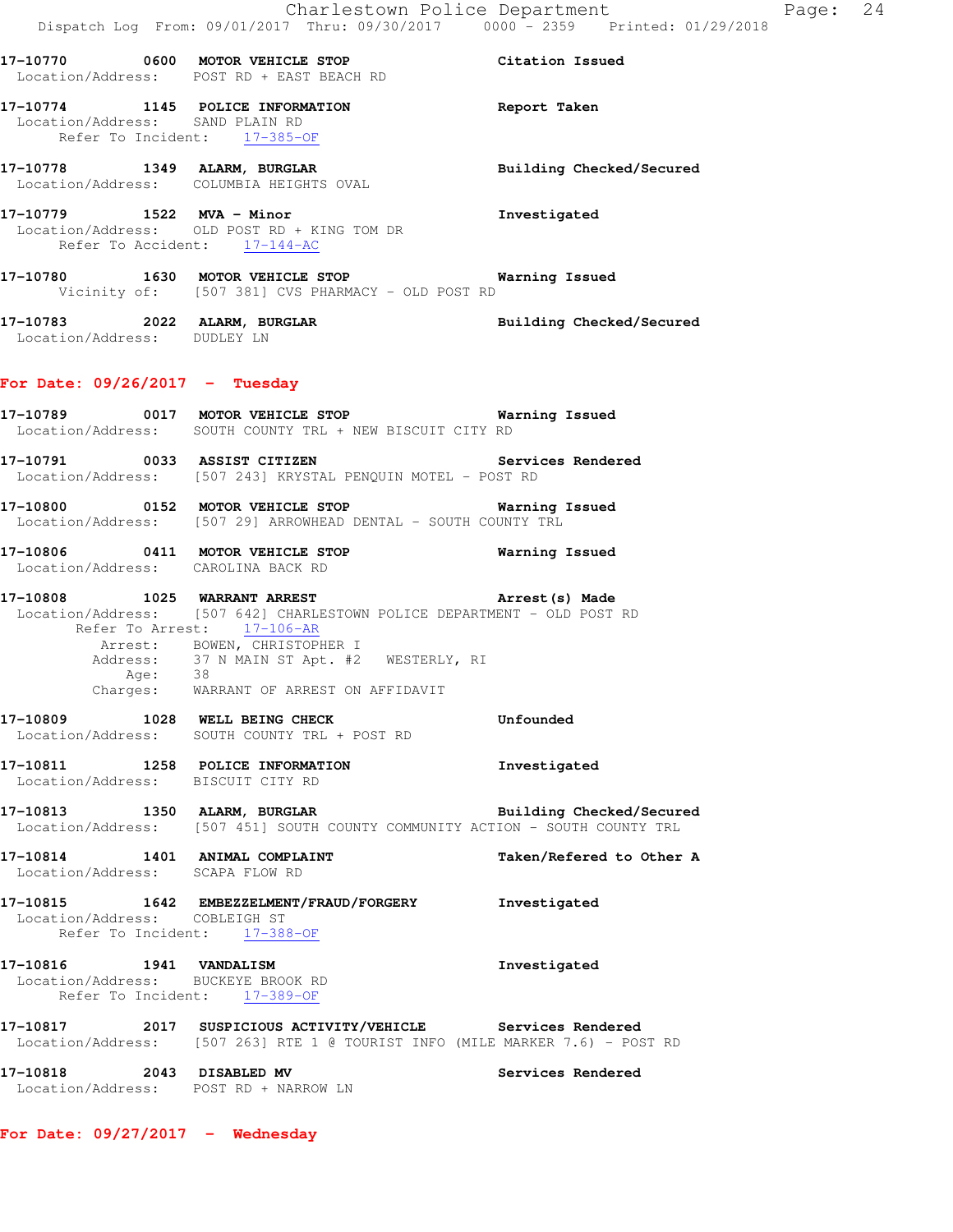**17-10770 0600 MOTOR VEHICLE STOP Citation Issued**  Location/Address: POST RD + EAST BEACH RD **17-10774 1145 POLICE INFORMATION Report Taken**  Location/Address: SAND PLAIN RD Refer To Incident: 17-385-OF **17-10778 1349 ALARM, BURGLAR Building Checked/Secured**  Location/Address: COLUMBIA HEIGHTS OVAL **17-10779 1522 MVA - Minor Investigated**  Location/Address: OLD POST RD + KING TOM DR Refer To Accident: 17-144-AC **17-10780 1630 MOTOR VEHICLE STOP Warning Issued**  Vicinity of: [507 381] CVS PHARMACY - OLD POST RD **17-10783 2022 ALARM, BURGLAR Building Checked/Secured**  Location/Address: DUDLEY LN **For Date: 09/26/2017 - Tuesday 17-10789 0017 MOTOR VEHICLE STOP Warning Issued**  Location/Address: SOUTH COUNTY TRL + NEW BISCUIT CITY RD **17-10791 0033 ASSIST CITIZEN Services Rendered**  Location/Address: [507 243] KRYSTAL PENQUIN MOTEL - POST RD **17-10800 0152 MOTOR VEHICLE STOP Warning Issued**  Location/Address: [507 29] ARROWHEAD DENTAL - SOUTH COUNTY TRL **17-10806 0411 MOTOR VEHICLE STOP Warning Issued**  Location/Address: CAROLINA BACK RD **17-10808 1025 WARRANT ARREST Arrest(s) Made**  Location/Address: [507 642] CHARLESTOWN POLICE DEPARTMENT - OLD POST RD Refer To Arrest: 17-106-AR Arrest: BOWEN, CHRISTOPHER I Address: 37 N MAIN ST Apt. #2 WESTERLY, RI<br>Age: 38 Age: 38 Charges: WARRANT OF ARREST ON AFFIDAVIT **17-10809 1028 WELL BEING CHECK Unfounded**  Location/Address: SOUTH COUNTY TRL + POST RD **17-10811 1258 POLICE INFORMATION Investigated**  Location/Address: BISCUIT CITY RD **17-10813 1350 ALARM, BURGLAR Building Checked/Secured**  Location/Address: [507 451] SOUTH COUNTY COMMUNITY ACTION - SOUTH COUNTY TRL **17-10814 1401 ANIMAL COMPLAINT Taken/Refered to Other A**  Location/Address: SCAPA FLOW RD **17-10815 1642 EMBEZZELMENT/FRAUD/FORGERY Investigated**  Location/Address: COBLEIGH ST Refer To Incident: 17-388-OF **17-10816 1941 VANDALISM Investigated**  Location/Address: BUCKEYE BROOK RD Refer To Incident: 17-389-OF **17-10817 2017 SUSPICIOUS ACTIVITY/VEHICLE Services Rendered**  Location/Address: [507 263] RTE 1 @ TOURIST INFO (MILE MARKER 7.6) - POST RD **17-10818 2043 DISABLED MV Services Rendered**  Location/Address: POST RD + NARROW LN

**For Date: 09/27/2017 - Wednesday**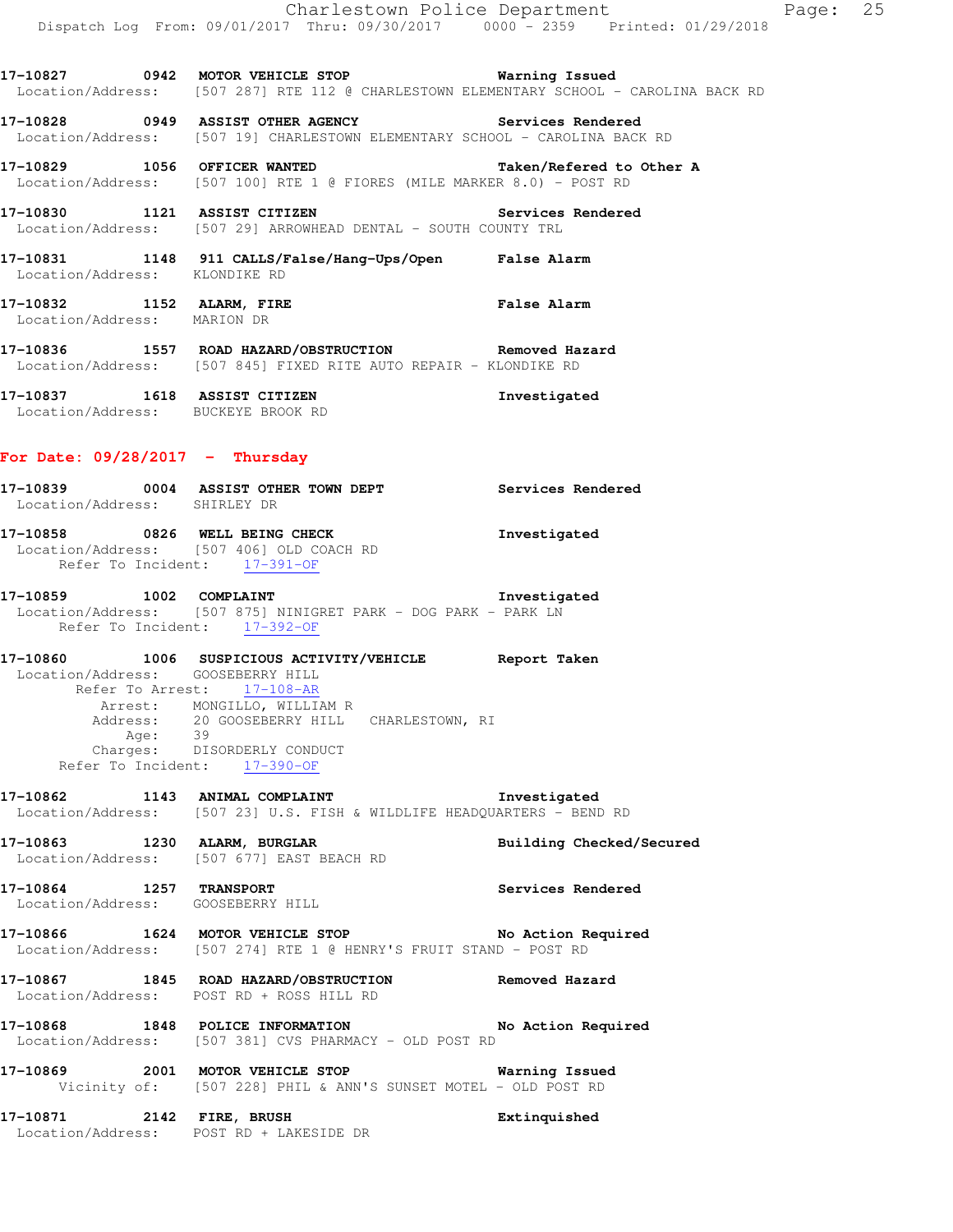**17-10827 0942 MOTOR VEHICLE STOP Warning Issued**  Location/Address: [507 287] RTE 112 @ CHARLESTOWN ELEMENTARY SCHOOL - CAROLINA BACK RD

**17-10828 0949 ASSIST OTHER AGENCY Services Rendered**  Location/Address: [507 19] CHARLESTOWN ELEMENTARY SCHOOL - CAROLINA BACK RD

**17-10829 1056 OFFICER WANTED Taken/Refered to Other A**  Location/Address: [507 100] RTE 1 @ FIORES (MILE MARKER 8.0) - POST RD

**17-10830 1121 ASSIST CITIZEN Services Rendered**  Location/Address: [507 29] ARROWHEAD DENTAL - SOUTH COUNTY TRL

**17-10831 1148 911 CALLS/False/Hang-Ups/Open False Alarm**  Location/Address: KLONDIKE RD

**17-10832 1152 ALARM, FIRE False Alarm**  Location/Address: MARION DR

**17-10836 1557 ROAD HAZARD/OBSTRUCTION Removed Hazard**  Location/Address: [507 845] FIXED RITE AUTO REPAIR - KLONDIKE RD

**17-10837 1618 ASSIST CITIZEN Investigated**  Location/Address: BUCKEYE BROOK RD

### **For Date: 09/28/2017 - Thursday**

**17-10839 0004 ASSIST OTHER TOWN DEPT Services Rendered**  Location/Address: SHIRLEY DR **17-10858 0826 WELL BEING CHECK Investigated**  Location/Address: [507 406] OLD COACH RD Refer To Incident: 17-391-OF **17-10859 1002 COMPLAINT Investigated** 

 Location/Address: [507 875] NINIGRET PARK - DOG PARK - PARK LN Refer To Incident: 17-392-OF

**17-10860 1006 SUSPICIOUS ACTIVITY/VEHICLE Report Taken**  Location/Address: GOOSEBERRY HILL Refer To Arrest: 17-108-AR Arrest: MONGILLO, WILLIAM R Address: 20 GOOSEBERRY HILL CHARLESTOWN, RI Age: 39 Charges: DISORDERLY CONDUCT Refer To Incident: 17-390-OF

**17-10862 1143 ANIMAL COMPLAINT Investigated**  Location/Address: [507 23] U.S. FISH & WILDLIFE HEADQUARTERS - BEND RD

**17-10863 1230 ALARM, BURGLAR Building Checked/Secured**  Location/Address: [507 677] EAST BEACH RD

**17-10864 1257 TRANSPORT Services Rendered**  Location/Address: GOOSEBERRY HILL

**17-10866 1624 MOTOR VEHICLE STOP No Action Required**  Location/Address: [507 274] RTE 1 @ HENRY'S FRUIT STAND - POST RD

**17-10867 1845 ROAD HAZARD/OBSTRUCTION Removed Hazard**  Location/Address: POST RD + ROSS HILL RD

**17-10868 1848 POLICE INFORMATION No Action Required**  Location/Address: [507 381] CVS PHARMACY - OLD POST RD

**17-10869 2001 MOTOR VEHICLE STOP Warning Issued**  Vicinity of: [507 228] PHIL & ANN'S SUNSET MOTEL - OLD POST RD

**17-10871 2142 FIRE, BRUSH Extinquished**  Location/Address: POST RD + LAKESIDE DR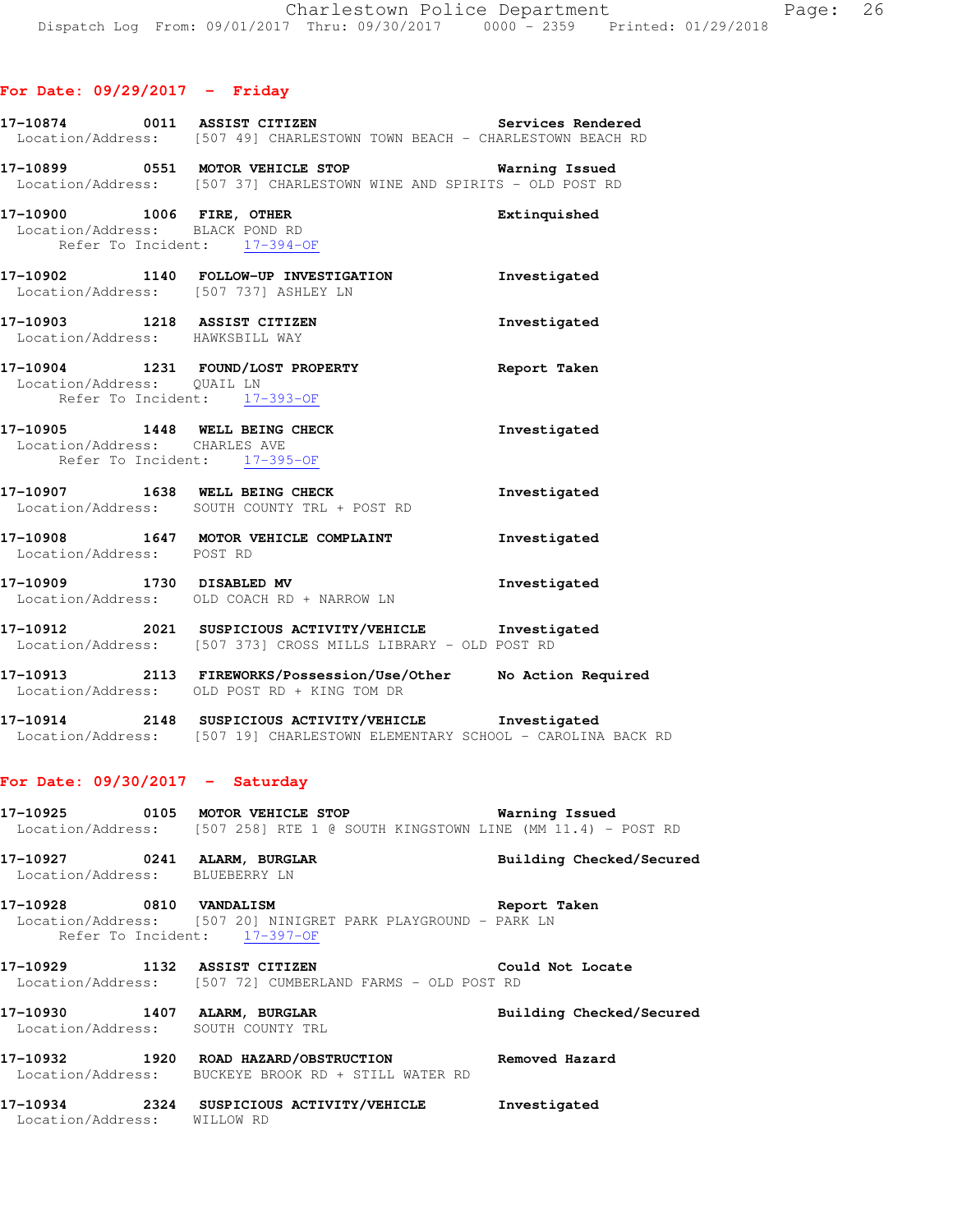### **For Date: 09/29/2017 - Friday**

|                                 | 17-10874 0011 ASSIST CITIZEN<br>Location/Address: [507 49] CHARLESTOWN TOWN BEACH - CHARLESTOWN BEACH RD                          | Services Rendered |
|---------------------------------|-----------------------------------------------------------------------------------------------------------------------------------|-------------------|
|                                 | 17-10899 0551 MOTOR VEHICLE STOP 17-10899 Warning Issued<br>Location/Address: [507 37] CHARLESTOWN WINE AND SPIRITS - OLD POST RD |                   |
|                                 | 17-10900 1006 FIRE, OTHER<br>Location/Address: BLACK POND RD<br>Refer To Incident: 17-394-OF                                      | Extinguished      |
|                                 | 17-10902 1140 FOLLOW-UP INVESTIGATION<br>Location/Address: [507 737] ASHLEY LN                                                    | Investigated      |
| Location/Address: HAWKSBILL WAY | 17-10903 1218 ASSIST CITIZEN                                                                                                      | Investigated      |
| Location/Address: QUAIL LN      | 17-10904 1231 FOUND/LOST PROPERTY<br>Refer To Incident: 17-393-OF                                                                 | Report Taken      |
| Location/Address: CHARLES AVE   | 17-10905 1448 WELL BEING CHECK<br>Refer To Incident: 17-395-OF                                                                    | Investigated      |
|                                 | 17-10907 1638 WELL BEING CHECK<br>Location/Address: SOUTH COUNTY TRL + POST RD                                                    | Investigated      |
| Location/Address: POST RD       | 17-10908 1647 MOTOR VEHICLE COMPLAINT                                                                                             | Investigated      |
|                                 | 17-10909 1730 DISABLED MV<br>Location/Address: OLD COACH RD + NARROW LN                                                           | Investigated      |
|                                 | 17-10912 2021 SUSPICIOUS ACTIVITY/VEHICLE Investigated<br>Location/Address: [507 373] CROSS MILLS LIBRARY - OLD POST RD           |                   |

- **17-10913 2113 FIREWORKS/Possession/Use/Other No Action Required**  Location/Address: OLD POST RD + KING TOM DR
- **17-10914 2148 SUSPICIOUS ACTIVITY/VEHICLE Investigated**  Location/Address: [507 19] CHARLESTOWN ELEMENTARY SCHOOL - CAROLINA BACK RD

#### **For Date: 09/30/2017 - Saturday**

**17-10925 0105 MOTOR VEHICLE STOP Warning Issued**  Location/Address: [507 258] RTE 1 @ SOUTH KINGSTOWN LINE (MM 11.4) - POST RD

**17-10927 0241 ALARM, BURGLAR Building Checked/Secured**  Location/Address: BLUEBERRY LN

**17-10928 0810 VANDALISM Report Taken**  Location/Address: [507 20] NINIGRET PARK PLAYGROUND - PARK LN Refer To Incident: 17-397-OF

**17-10929 1132 ASSIST CITIZEN Could Not Locate**  Location/Address: [507 72] CUMBERLAND FARMS - OLD POST RD

**17-10930 1407 ALARM, BURGLAR Building Checked/Secured**  Location/Address: SOUTH COUNTY TRL

**17-10932 1920 ROAD HAZARD/OBSTRUCTION Removed Hazard**  Location/Address: BUCKEYE BROOK RD + STILL WATER RD

**17-10934 2324 SUSPICIOUS ACTIVITY/VEHICLE Investigated**  Location/Address: WILLOW RD